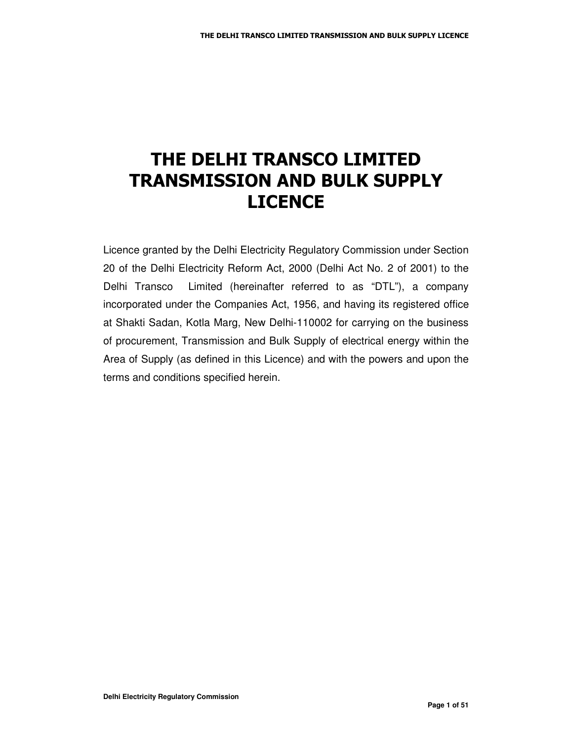## THE DELHI TRANSCO LIMITED **TRANSMISSION AND BULK SUPPLY LICENCE**

Licence granted by the Delhi Electricity Regulatory Commission under Section 20 of the Delhi Electricity Reform Act, 2000 (Delhi Act No. 2 of 2001) to the Delhi Transco Limited (hereinafter referred to as "DTL"), a company incorporated under the Companies Act, 1956, and having its registered office at Shakti Sadan, Kotla Marg, New Delhi-110002 for carrying on the business of procurement, Transmission and Bulk Supply of electrical energy within the Area of Supply (as defined in this Licence) and with the powers and upon the terms and conditions specified herein.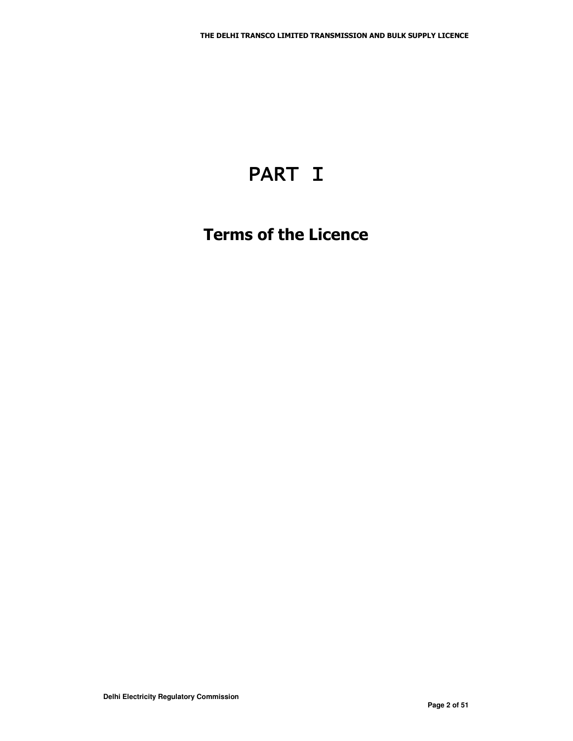# PART I

## **Terms of the Licence**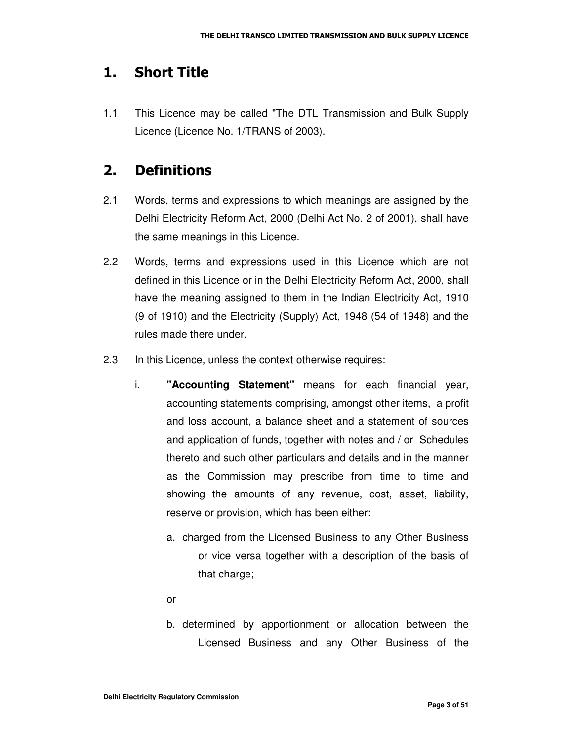#### 1. Short Title

1.1 This Licence may be called "The DTL Transmission and Bulk Supply Licence (Licence No. 1/TRANS of 2003).

#### 2. Definitions

- 2.1 Words, terms and expressions to which meanings are assigned by the Delhi Electricity Reform Act, 2000 (Delhi Act No. 2 of 2001), shall have the same meanings in this Licence.
- 2.2 Words, terms and expressions used in this Licence which are not defined in this Licence or in the Delhi Electricity Reform Act, 2000, shall have the meaning assigned to them in the Indian Electricity Act, 1910 (9 of 1910) and the Electricity (Supply) Act, 1948 (54 of 1948) and the rules made there under.
- 2.3 In this Licence, unless the context otherwise requires:
	- i. **"Accounting Statement"** means for each financial year, accounting statements comprising, amongst other items, a profit and loss account, a balance sheet and a statement of sources and application of funds, together with notes and / or Schedules thereto and such other particulars and details and in the manner as the Commission may prescribe from time to time and showing the amounts of any revenue, cost, asset, liability, reserve or provision, which has been either:
		- a. charged from the Licensed Business to any Other Business or vice versa together with a description of the basis of that charge;
		- or
		- b. determined by apportionment or allocation between the Licensed Business and any Other Business of the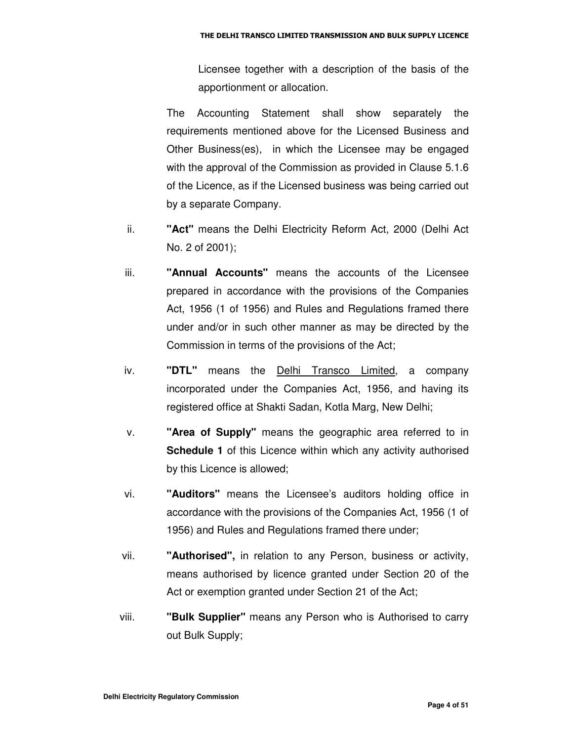Licensee together with a description of the basis of the apportionment or allocation.

The Accounting Statement shall show separately the requirements mentioned above for the Licensed Business and Other Business(es), in which the Licensee may be engaged with the approval of the Commission as provided in Clause 5.1.6 of the Licence, as if the Licensed business was being carried out by a separate Company.

- ii. **"Act"** means the Delhi Electricity Reform Act, 2000 (Delhi Act No. 2 of 2001);
- iii. **"Annual Accounts"** means the accounts of the Licensee prepared in accordance with the provisions of the Companies Act, 1956 (1 of 1956) and Rules and Regulations framed there under and/or in such other manner as may be directed by the Commission in terms of the provisions of the Act;
- iv. **"DTL"** means the Delhi Transco Limited, a company incorporated under the Companies Act, 1956, and having its registered office at Shakti Sadan, Kotla Marg, New Delhi;
- v. **"Area of Supply"** means the geographic area referred to in **Schedule 1** of this Licence within which any activity authorised by this Licence is allowed;
- vi. **"Auditors"** means the Licensee's auditors holding office in accordance with the provisions of the Companies Act, 1956 (1 of 1956) and Rules and Regulations framed there under;
- vii. **"Authorised",** in relation to any Person, business or activity, means authorised by licence granted under Section 20 of the Act or exemption granted under Section 21 of the Act;
- viii. **"Bulk Supplier"** means any Person who is Authorised to carry out Bulk Supply;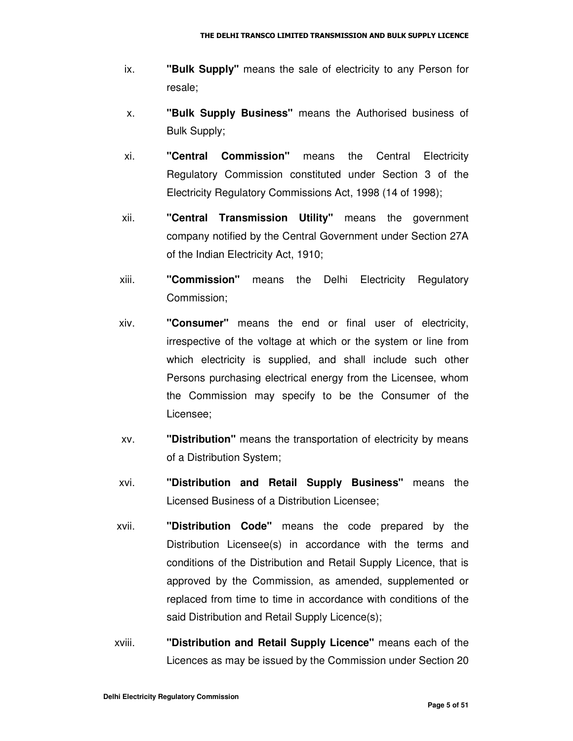- ix. **"Bulk Supply"** means the sale of electricity to any Person for resale;
- x. **"Bulk Supply Business"** means the Authorised business of Bulk Supply;
- xi. **"Central Commission"** means the Central Electricity Regulatory Commission constituted under Section 3 of the Electricity Regulatory Commissions Act, 1998 (14 of 1998);
- xii. **"Central Transmission Utility"** means the government company notified by the Central Government under Section 27A of the Indian Electricity Act, 1910;
- xiii. **"Commission"** means the Delhi Electricity Regulatory Commission;
- xiv. **"Consumer"** means the end or final user of electricity, irrespective of the voltage at which or the system or line from which electricity is supplied, and shall include such other Persons purchasing electrical energy from the Licensee, whom the Commission may specify to be the Consumer of the Licensee;
- xv. **"Distribution"** means the transportation of electricity by means of a Distribution System;
- xvi. **"Distribution and Retail Supply Business"** means the Licensed Business of a Distribution Licensee;
- xvii. **"Distribution Code"** means the code prepared by the Distribution Licensee(s) in accordance with the terms and conditions of the Distribution and Retail Supply Licence, that is approved by the Commission, as amended, supplemented or replaced from time to time in accordance with conditions of the said Distribution and Retail Supply Licence(s);
- xviii. **"Distribution and Retail Supply Licence"** means each of the Licences as may be issued by the Commission under Section 20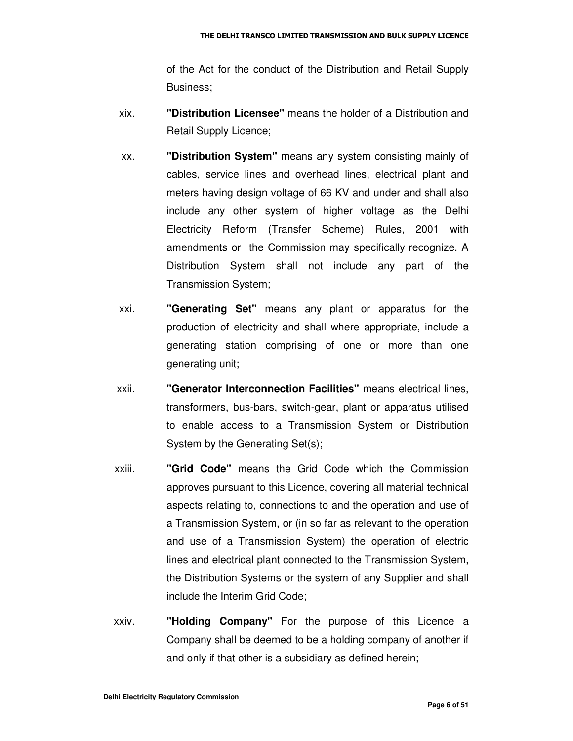of the Act for the conduct of the Distribution and Retail Supply Business;

- xix. **"Distribution Licensee"** means the holder of a Distribution and Retail Supply Licence;
- xx. **"Distribution System"** means any system consisting mainly of cables, service lines and overhead lines, electrical plant and meters having design voltage of 66 KV and under and shall also include any other system of higher voltage as the Delhi Electricity Reform (Transfer Scheme) Rules, 2001 with amendments or the Commission may specifically recognize. A Distribution System shall not include any part of the Transmission System;
- xxi. **"Generating Set"** means any plant or apparatus for the production of electricity and shall where appropriate, include a generating station comprising of one or more than one generating unit;
- xxii. **"Generator Interconnection Facilities"** means electrical lines, transformers, bus-bars, switch-gear, plant or apparatus utilised to enable access to a Transmission System or Distribution System by the Generating Set(s);
- xxiii. **"Grid Code"** means the Grid Code which the Commission approves pursuant to this Licence, covering all material technical aspects relating to, connections to and the operation and use of a Transmission System, or (in so far as relevant to the operation and use of a Transmission System) the operation of electric lines and electrical plant connected to the Transmission System, the Distribution Systems or the system of any Supplier and shall include the Interim Grid Code;
- xxiv. **"Holding Company"** For the purpose of this Licence a Company shall be deemed to be a holding company of another if and only if that other is a subsidiary as defined herein;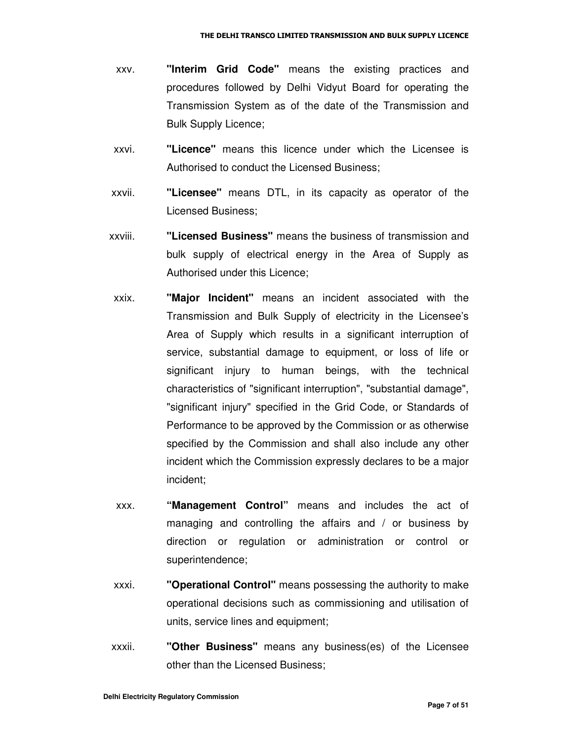- xxv. **"Interim Grid Code"** means the existing practices and procedures followed by Delhi Vidyut Board for operating the Transmission System as of the date of the Transmission and Bulk Supply Licence;
- xxvi. **"Licence"** means this licence under which the Licensee is Authorised to conduct the Licensed Business;
- xxvii. **"Licensee"** means DTL, in its capacity as operator of the Licensed Business;
- xxviii. **"Licensed Business"** means the business of transmission and bulk supply of electrical energy in the Area of Supply as Authorised under this Licence;
- xxix. **"Major Incident"** means an incident associated with the Transmission and Bulk Supply of electricity in the Licensee's Area of Supply which results in a significant interruption of service, substantial damage to equipment, or loss of life or significant injury to human beings, with the technical characteristics of "significant interruption", "substantial damage", "significant injury" specified in the Grid Code, or Standards of Performance to be approved by the Commission or as otherwise specified by the Commission and shall also include any other incident which the Commission expressly declares to be a major incident;
- xxx. **"Management Control"** means and includes the act of managing and controlling the affairs and / or business by direction or regulation or administration or control or superintendence;
- xxxi. **"Operational Control"** means possessing the authority to make operational decisions such as commissioning and utilisation of units, service lines and equipment;
- xxxii. **"Other Business"** means any business(es) of the Licensee other than the Licensed Business;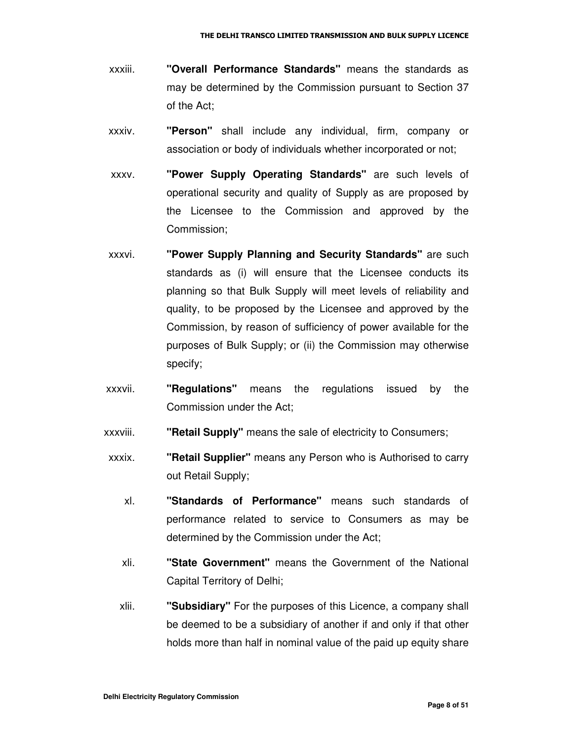- xxxiii. **"Overall Performance Standards"** means the standards as may be determined by the Commission pursuant to Section 37 of the Act;
- xxxiv. **"Person"** shall include any individual, firm, company or association or body of individuals whether incorporated or not;
- xxxv. **"Power Supply Operating Standards"** are such levels of operational security and quality of Supply as are proposed by the Licensee to the Commission and approved by the Commission;
- xxxvi. **"Power Supply Planning and Security Standards"** are such standards as (i) will ensure that the Licensee conducts its planning so that Bulk Supply will meet levels of reliability and quality, to be proposed by the Licensee and approved by the Commission, by reason of sufficiency of power available for the purposes of Bulk Supply; or (ii) the Commission may otherwise specify;
- xxxvii. **"Regulations"** means the regulations issued by the Commission under the Act;
- xxxviii. **"Retail Supply"** means the sale of electricity to Consumers;
- xxxix. **"Retail Supplier"** means any Person who is Authorised to carry out Retail Supply;
	- xl. **"Standards of Performance"** means such standards of performance related to service to Consumers as may be determined by the Commission under the Act;
	- xli. **"State Government"** means the Government of the National Capital Territory of Delhi;
	- xlii. **"Subsidiary"** For the purposes of this Licence, a company shall be deemed to be a subsidiary of another if and only if that other holds more than half in nominal value of the paid up equity share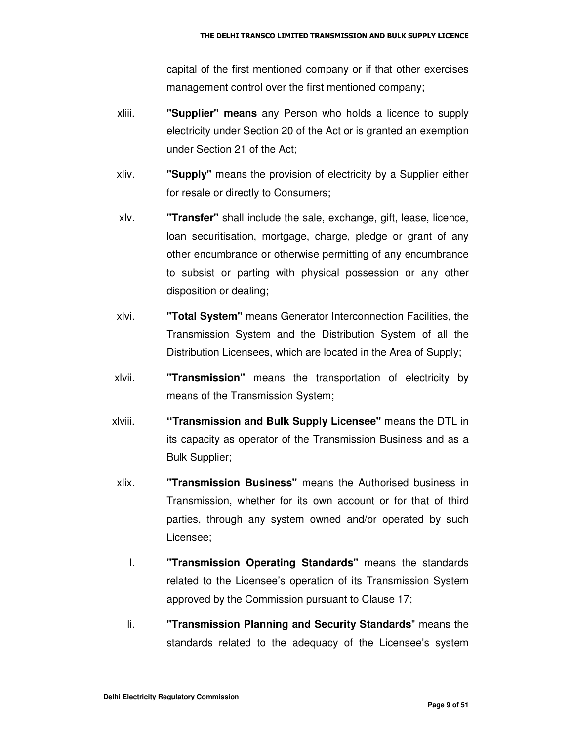capital of the first mentioned company or if that other exercises management control over the first mentioned company;

- xliii. **"Supplier" means** any Person who holds a licence to supply electricity under Section 20 of the Act or is granted an exemption under Section 21 of the Act;
- xliv. **"Supply"** means the provision of electricity by a Supplier either for resale or directly to Consumers;
- xlv. **"Transfer"** shall include the sale, exchange, gift, lease, licence, loan securitisation, mortgage, charge, pledge or grant of any other encumbrance or otherwise permitting of any encumbrance to subsist or parting with physical possession or any other disposition or dealing;
- xlvi. **"Total System"** means Generator Interconnection Facilities, the Transmission System and the Distribution System of all the Distribution Licensees, which are located in the Area of Supply;
- xlvii. **"Transmission"** means the transportation of electricity by means of the Transmission System;
- xlviii. **''Transmission and Bulk Supply Licensee"** means the DTL in its capacity as operator of the Transmission Business and as a Bulk Supplier;
- xlix. **"Transmission Business"** means the Authorised business in Transmission, whether for its own account or for that of third parties, through any system owned and/or operated by such Licensee;
	- l. **"Transmission Operating Standards"** means the standards related to the Licensee's operation of its Transmission System approved by the Commission pursuant to Clause 17;
	- li. **"Transmission Planning and Security Standards**" means the standards related to the adequacy of the Licensee's system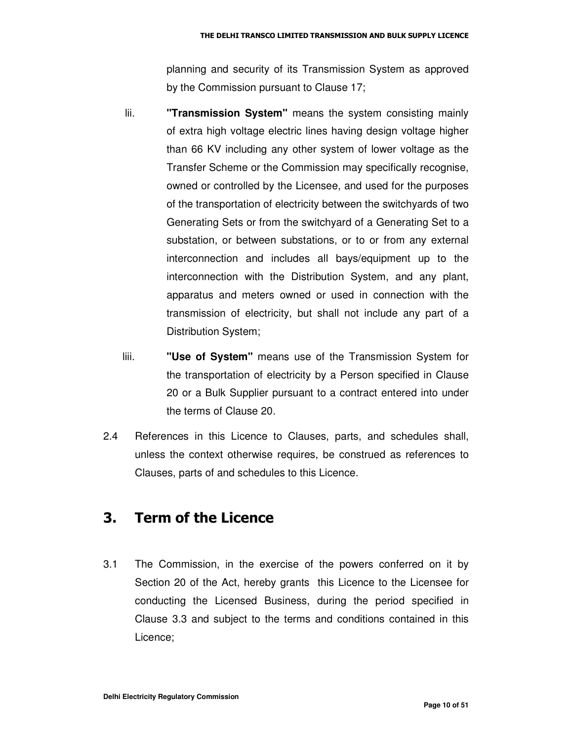planning and security of its Transmission System as approved by the Commission pursuant to Clause 17;

- lii. **"Transmission System"** means the system consisting mainly of extra high voltage electric lines having design voltage higher than 66 KV including any other system of lower voltage as the Transfer Scheme or the Commission may specifically recognise, owned or controlled by the Licensee, and used for the purposes of the transportation of electricity between the switchyards of two Generating Sets or from the switchyard of a Generating Set to a substation, or between substations, or to or from any external interconnection and includes all bays/equipment up to the interconnection with the Distribution System, and any plant, apparatus and meters owned or used in connection with the transmission of electricity, but shall not include any part of a Distribution System;
- liii. **"Use of System"** means use of the Transmission System for the transportation of electricity by a Person specified in Clause 20 or a Bulk Supplier pursuant to a contract entered into under the terms of Clause 20.
- 2.4 References in this Licence to Clauses, parts, and schedules shall, unless the context otherwise requires, be construed as references to Clauses, parts of and schedules to this Licence.

#### 3. Term of the Licence

3.1 The Commission, in the exercise of the powers conferred on it by Section 20 of the Act, hereby grants this Licence to the Licensee for conducting the Licensed Business, during the period specified in Clause 3.3 and subject to the terms and conditions contained in this Licence;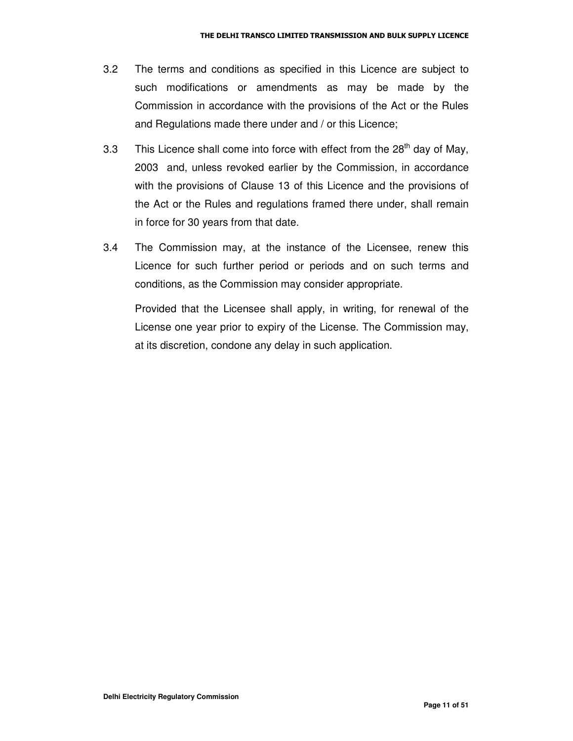- 3.2 The terms and conditions as specified in this Licence are subject to such modifications or amendments as may be made by the Commission in accordance with the provisions of the Act or the Rules and Regulations made there under and / or this Licence;
- 3.3 This Licence shall come into force with effect from the 28<sup>th</sup> day of May, 2003 and, unless revoked earlier by the Commission, in accordance with the provisions of Clause 13 of this Licence and the provisions of the Act or the Rules and regulations framed there under, shall remain in force for 30 years from that date.
- 3.4 The Commission may, at the instance of the Licensee, renew this Licence for such further period or periods and on such terms and conditions, as the Commission may consider appropriate.

Provided that the Licensee shall apply, in writing, for renewal of the License one year prior to expiry of the License. The Commission may, at its discretion, condone any delay in such application.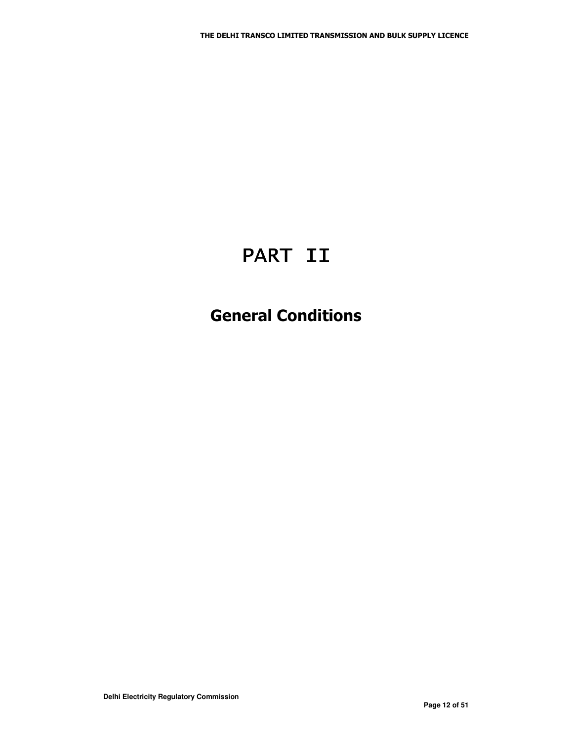# PART II

## **General Conditions**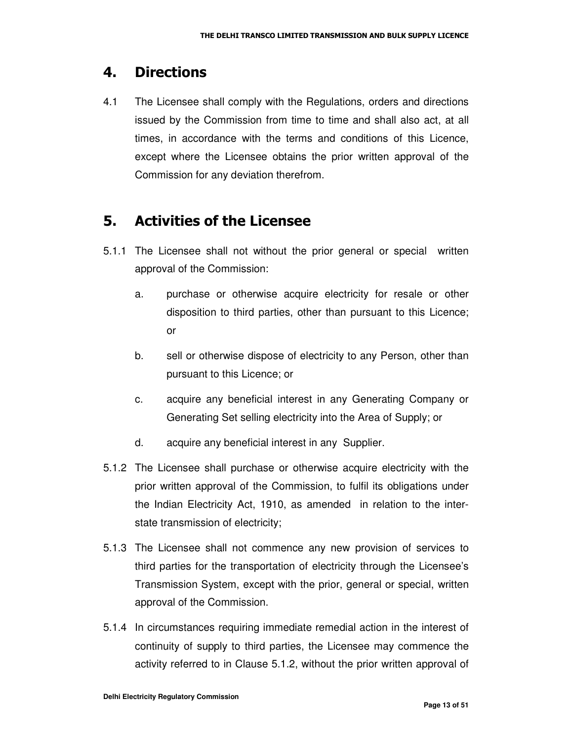#### 4. Directions

4.1 The Licensee shall comply with the Regulations, orders and directions issued by the Commission from time to time and shall also act, at all times, in accordance with the terms and conditions of this Licence, except where the Licensee obtains the prior written approval of the Commission for any deviation therefrom.

#### 5. Activities of the Licensee

- 5.1.1 The Licensee shall not without the prior general or special written approval of the Commission:
	- a. purchase or otherwise acquire electricity for resale or other disposition to third parties, other than pursuant to this Licence; or
	- b. sell or otherwise dispose of electricity to any Person, other than pursuant to this Licence; or
	- c. acquire any beneficial interest in any Generating Company or Generating Set selling electricity into the Area of Supply; or
	- d. acquire any beneficial interest in any Supplier.
- 5.1.2 The Licensee shall purchase or otherwise acquire electricity with the prior written approval of the Commission, to fulfil its obligations under the Indian Electricity Act, 1910, as amended in relation to the interstate transmission of electricity;
- 5.1.3 The Licensee shall not commence any new provision of services to third parties for the transportation of electricity through the Licensee's Transmission System, except with the prior, general or special, written approval of the Commission.
- 5.1.4 In circumstances requiring immediate remedial action in the interest of continuity of supply to third parties, the Licensee may commence the activity referred to in Clause 5.1.2, without the prior written approval of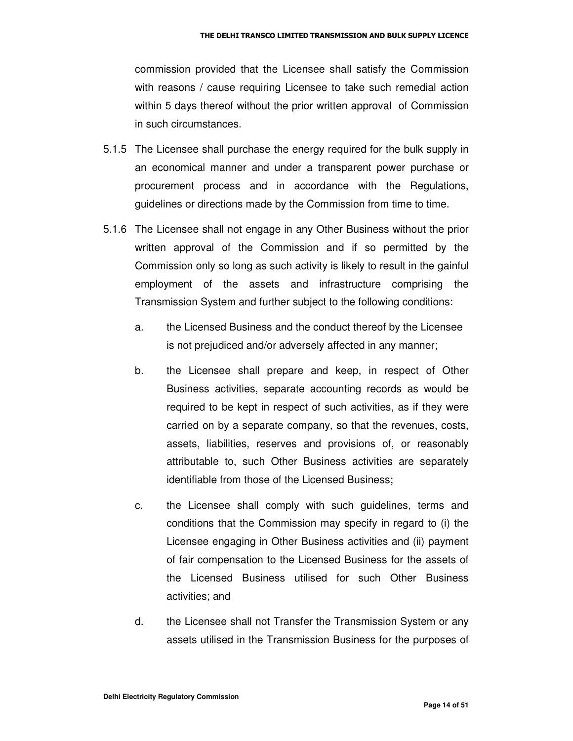commission provided that the Licensee shall satisfy the Commission with reasons / cause requiring Licensee to take such remedial action within 5 days thereof without the prior written approval of Commission in such circumstances.

- 5.1.5 The Licensee shall purchase the energy required for the bulk supply in an economical manner and under a transparent power purchase or procurement process and in accordance with the Regulations, guidelines or directions made by the Commission from time to time.
- 5.1.6 The Licensee shall not engage in any Other Business without the prior written approval of the Commission and if so permitted by the Commission only so long as such activity is likely to result in the gainful employment of the assets and infrastructure comprising the Transmission System and further subject to the following conditions:
	- a. the Licensed Business and the conduct thereof by the Licensee is not prejudiced and/or adversely affected in any manner;
	- b. the Licensee shall prepare and keep, in respect of Other Business activities, separate accounting records as would be required to be kept in respect of such activities, as if they were carried on by a separate company, so that the revenues, costs, assets, liabilities, reserves and provisions of, or reasonably attributable to, such Other Business activities are separately identifiable from those of the Licensed Business;
	- c. the Licensee shall comply with such guidelines, terms and conditions that the Commission may specify in regard to (i) the Licensee engaging in Other Business activities and (ii) payment of fair compensation to the Licensed Business for the assets of the Licensed Business utilised for such Other Business activities; and
	- d. the Licensee shall not Transfer the Transmission System or any assets utilised in the Transmission Business for the purposes of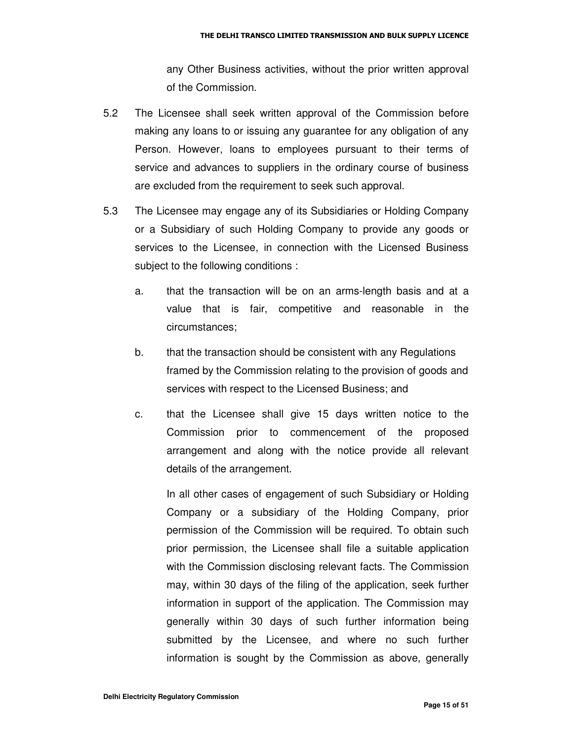any Other Business activities, without the prior written approval of the Commission.

- 5.2 The Licensee shall seek written approval of the Commission before making any loans to or issuing any guarantee for any obligation of any Person. However, loans to employees pursuant to their terms of service and advances to suppliers in the ordinary course of business are excluded from the requirement to seek such approval.
- 5.3 The Licensee may engage any of its Subsidiaries or Holding Company or a Subsidiary of such Holding Company to provide any goods or services to the Licensee, in connection with the Licensed Business subject to the following conditions :
	- a. that the transaction will be on an arms-length basis and at a value that is fair, competitive and reasonable in the circumstances;
	- b. that the transaction should be consistent with any Regulations framed by the Commission relating to the provision of goods and services with respect to the Licensed Business; and
	- c. that the Licensee shall give 15 days written notice to the Commission prior to commencement of the proposed arrangement and along with the notice provide all relevant details of the arrangement.

In all other cases of engagement of such Subsidiary or Holding Company or a subsidiary of the Holding Company, prior permission of the Commission will be required. To obtain such prior permission, the Licensee shall file a suitable application with the Commission disclosing relevant facts. The Commission may, within 30 days of the filing of the application, seek further information in support of the application. The Commission may generally within 30 days of such further information being submitted by the Licensee, and where no such further information is sought by the Commission as above, generally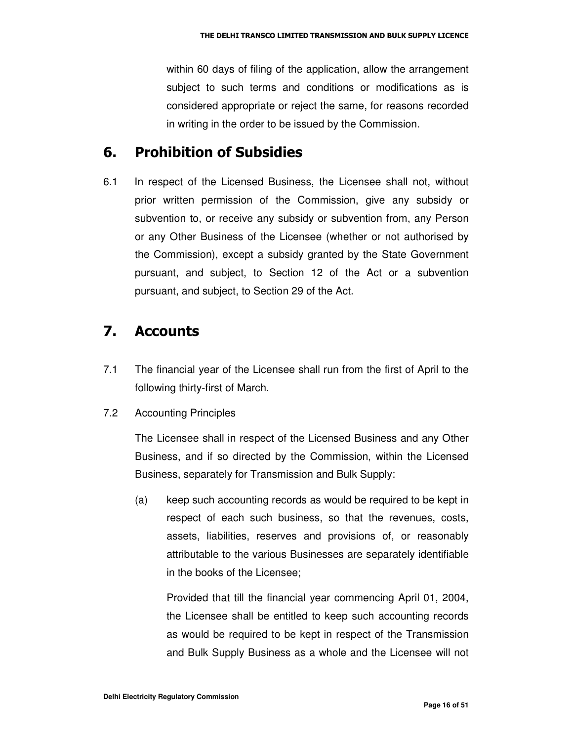within 60 days of filing of the application, allow the arrangement subject to such terms and conditions or modifications as is considered appropriate or reject the same, for reasons recorded in writing in the order to be issued by the Commission.

### 6. Prohibition of Subsidies

6.1 In respect of the Licensed Business, the Licensee shall not, without prior written permission of the Commission, give any subsidy or subvention to, or receive any subsidy or subvention from, any Person or any Other Business of the Licensee (whether or not authorised by the Commission), except a subsidy granted by the State Government pursuant, and subject, to Section 12 of the Act or a subvention pursuant, and subject, to Section 29 of the Act.

#### 7. Accounts

- 7.1 The financial year of the Licensee shall run from the first of April to the following thirty-first of March.
- 7.2 Accounting Principles

The Licensee shall in respect of the Licensed Business and any Other Business, and if so directed by the Commission, within the Licensed Business, separately for Transmission and Bulk Supply:

(a) keep such accounting records as would be required to be kept in respect of each such business, so that the revenues, costs, assets, liabilities, reserves and provisions of, or reasonably attributable to the various Businesses are separately identifiable in the books of the Licensee;

Provided that till the financial year commencing April 01, 2004, the Licensee shall be entitled to keep such accounting records as would be required to be kept in respect of the Transmission and Bulk Supply Business as a whole and the Licensee will not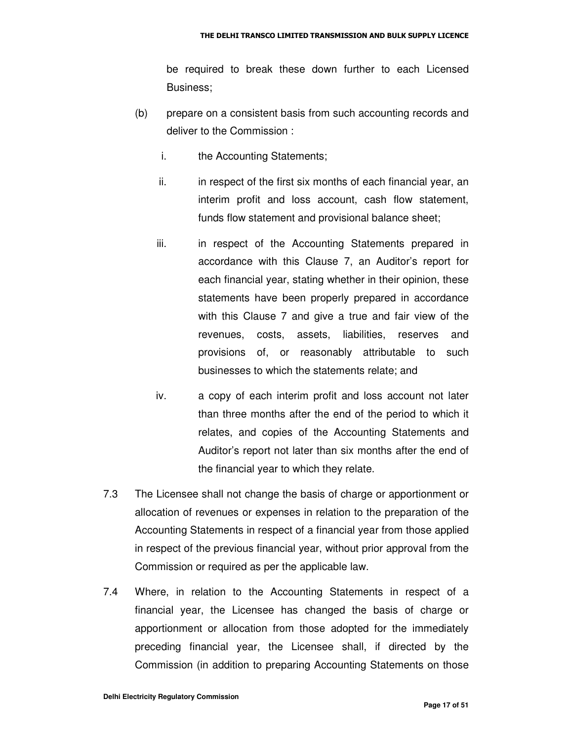be required to break these down further to each Licensed Business;

- (b) prepare on a consistent basis from such accounting records and deliver to the Commission :
	- i. the Accounting Statements;
	- ii. in respect of the first six months of each financial year, an interim profit and loss account, cash flow statement, funds flow statement and provisional balance sheet;
	- iii. in respect of the Accounting Statements prepared in accordance with this Clause 7, an Auditor's report for each financial year, stating whether in their opinion, these statements have been properly prepared in accordance with this Clause 7 and give a true and fair view of the revenues, costs, assets, liabilities, reserves and provisions of, or reasonably attributable to such businesses to which the statements relate; and
	- iv. a copy of each interim profit and loss account not later than three months after the end of the period to which it relates, and copies of the Accounting Statements and Auditor's report not later than six months after the end of the financial year to which they relate.
- 7.3 The Licensee shall not change the basis of charge or apportionment or allocation of revenues or expenses in relation to the preparation of the Accounting Statements in respect of a financial year from those applied in respect of the previous financial year, without prior approval from the Commission or required as per the applicable law.
- 7.4 Where, in relation to the Accounting Statements in respect of a financial year, the Licensee has changed the basis of charge or apportionment or allocation from those adopted for the immediately preceding financial year, the Licensee shall, if directed by the Commission (in addition to preparing Accounting Statements on those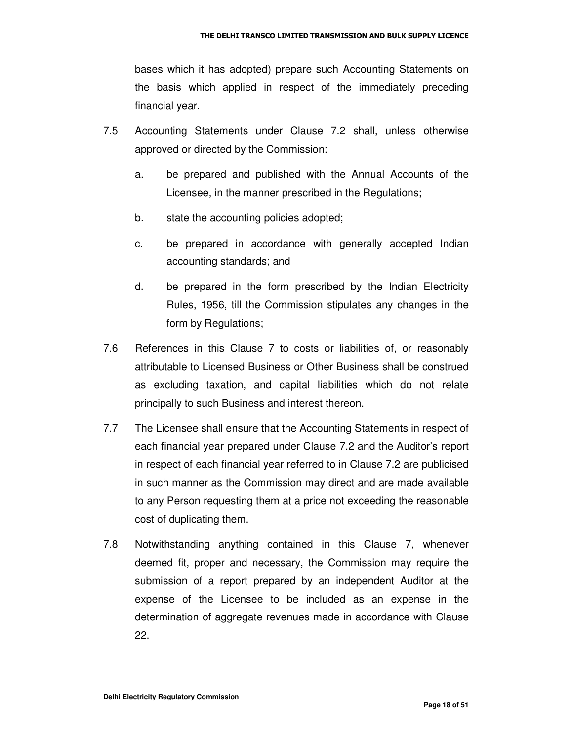bases which it has adopted) prepare such Accounting Statements on the basis which applied in respect of the immediately preceding financial year.

- 7.5 Accounting Statements under Clause 7.2 shall, unless otherwise approved or directed by the Commission:
	- a. be prepared and published with the Annual Accounts of the Licensee, in the manner prescribed in the Regulations;
	- b. state the accounting policies adopted;
	- c. be prepared in accordance with generally accepted Indian accounting standards; and
	- d. be prepared in the form prescribed by the Indian Electricity Rules, 1956, till the Commission stipulates any changes in the form by Regulations;
- 7.6 References in this Clause 7 to costs or liabilities of, or reasonably attributable to Licensed Business or Other Business shall be construed as excluding taxation, and capital liabilities which do not relate principally to such Business and interest thereon.
- 7.7 The Licensee shall ensure that the Accounting Statements in respect of each financial year prepared under Clause 7.2 and the Auditor's report in respect of each financial year referred to in Clause 7.2 are publicised in such manner as the Commission may direct and are made available to any Person requesting them at a price not exceeding the reasonable cost of duplicating them.
- 7.8 Notwithstanding anything contained in this Clause 7, whenever deemed fit, proper and necessary, the Commission may require the submission of a report prepared by an independent Auditor at the expense of the Licensee to be included as an expense in the determination of aggregate revenues made in accordance with Clause 22.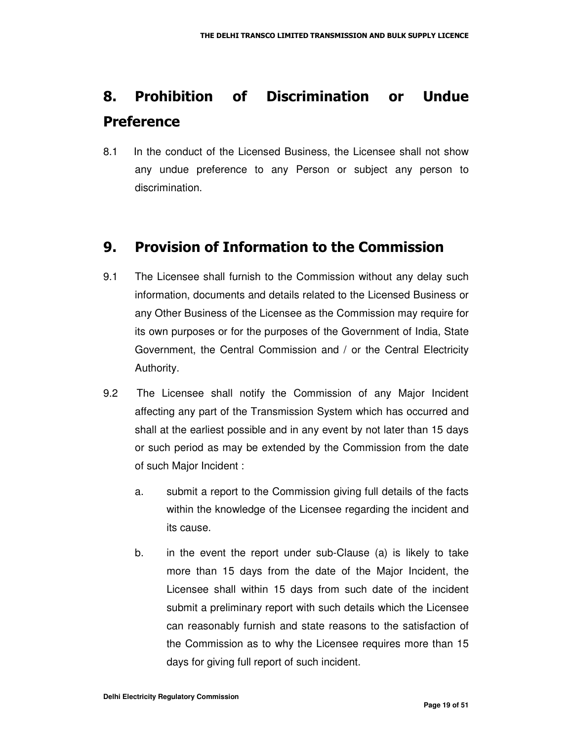## 8. Prohibition of Discrimination or Undue **Preference**

8.1 In the conduct of the Licensed Business, the Licensee shall not show any undue preference to any Person or subject any person to discrimination.

### 9. Provision of Information to the Commission

- 9.1 The Licensee shall furnish to the Commission without any delay such information, documents and details related to the Licensed Business or any Other Business of the Licensee as the Commission may require for its own purposes or for the purposes of the Government of India, State Government, the Central Commission and / or the Central Electricity Authority.
- 9.2 The Licensee shall notify the Commission of any Major Incident affecting any part of the Transmission System which has occurred and shall at the earliest possible and in any event by not later than 15 days or such period as may be extended by the Commission from the date of such Major Incident :
	- a. submit a report to the Commission giving full details of the facts within the knowledge of the Licensee regarding the incident and its cause.
	- b. in the event the report under sub-Clause (a) is likely to take more than 15 days from the date of the Major Incident, the Licensee shall within 15 days from such date of the incident submit a preliminary report with such details which the Licensee can reasonably furnish and state reasons to the satisfaction of the Commission as to why the Licensee requires more than 15 days for giving full report of such incident.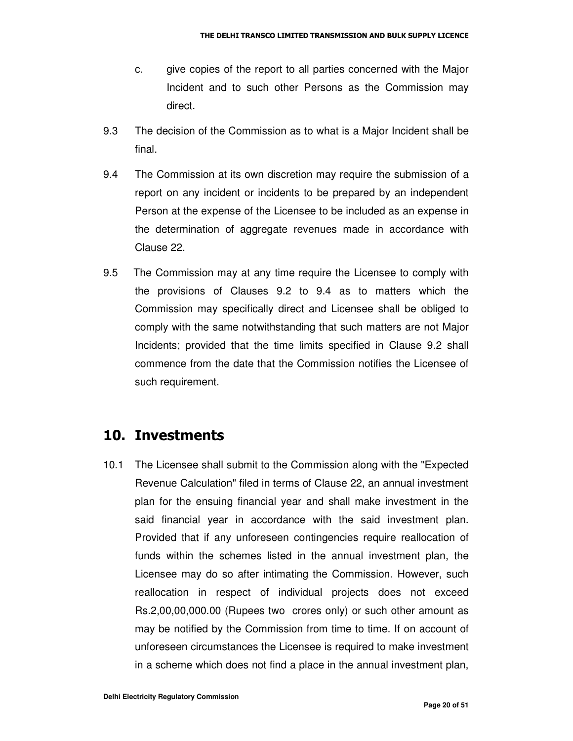- c. give copies of the report to all parties concerned with the Major Incident and to such other Persons as the Commission may direct.
- 9.3 The decision of the Commission as to what is a Major Incident shall be final.
- 9.4 The Commission at its own discretion may require the submission of a report on any incident or incidents to be prepared by an independent Person at the expense of the Licensee to be included as an expense in the determination of aggregate revenues made in accordance with Clause 22.
- 9.5 The Commission may at any time require the Licensee to comply with the provisions of Clauses 9.2 to 9.4 as to matters which the Commission may specifically direct and Licensee shall be obliged to comply with the same notwithstanding that such matters are not Major Incidents; provided that the time limits specified in Clause 9.2 shall commence from the date that the Commission notifies the Licensee of such requirement.

### 10. Investments

10.1 The Licensee shall submit to the Commission along with the "Expected Revenue Calculation" filed in terms of Clause 22, an annual investment plan for the ensuing financial year and shall make investment in the said financial year in accordance with the said investment plan. Provided that if any unforeseen contingencies require reallocation of funds within the schemes listed in the annual investment plan, the Licensee may do so after intimating the Commission. However, such reallocation in respect of individual projects does not exceed Rs.2,00,00,000.00 (Rupees two crores only) or such other amount as may be notified by the Commission from time to time. If on account of unforeseen circumstances the Licensee is required to make investment in a scheme which does not find a place in the annual investment plan,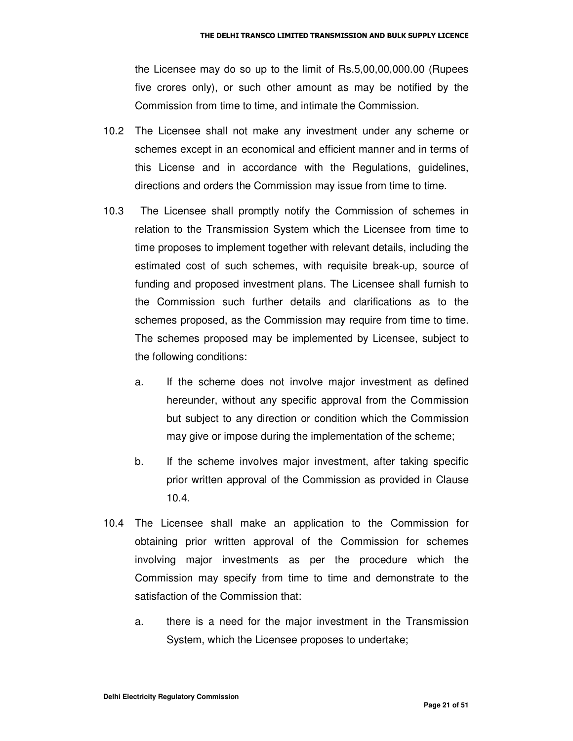the Licensee may do so up to the limit of Rs.5,00,00,000.00 (Rupees five crores only), or such other amount as may be notified by the Commission from time to time, and intimate the Commission.

- 10.2 The Licensee shall not make any investment under any scheme or schemes except in an economical and efficient manner and in terms of this License and in accordance with the Regulations, guidelines, directions and orders the Commission may issue from time to time.
- 10.3 The Licensee shall promptly notify the Commission of schemes in relation to the Transmission System which the Licensee from time to time proposes to implement together with relevant details, including the estimated cost of such schemes, with requisite break-up, source of funding and proposed investment plans. The Licensee shall furnish to the Commission such further details and clarifications as to the schemes proposed, as the Commission may require from time to time. The schemes proposed may be implemented by Licensee, subject to the following conditions:
	- a. If the scheme does not involve major investment as defined hereunder, without any specific approval from the Commission but subject to any direction or condition which the Commission may give or impose during the implementation of the scheme;
	- b. If the scheme involves major investment, after taking specific prior written approval of the Commission as provided in Clause 10.4.
- 10.4 The Licensee shall make an application to the Commission for obtaining prior written approval of the Commission for schemes involving major investments as per the procedure which the Commission may specify from time to time and demonstrate to the satisfaction of the Commission that:
	- a. there is a need for the major investment in the Transmission System, which the Licensee proposes to undertake;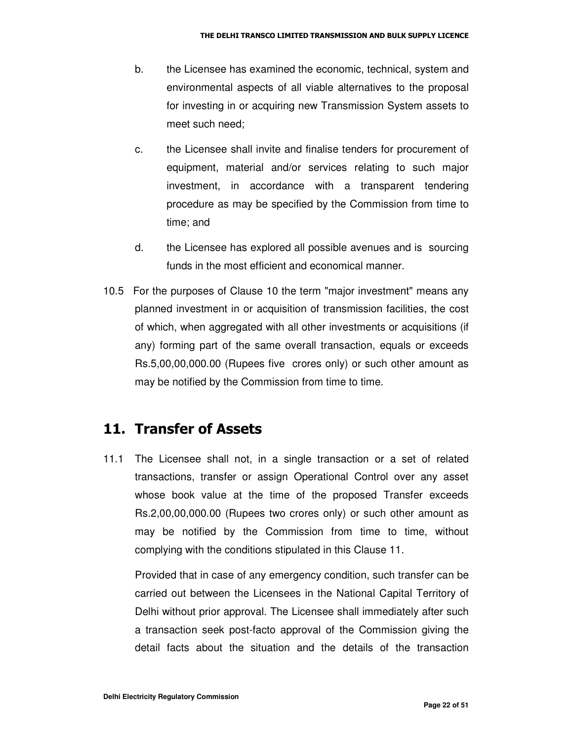- b. the Licensee has examined the economic, technical, system and environmental aspects of all viable alternatives to the proposal for investing in or acquiring new Transmission System assets to meet such need;
- c. the Licensee shall invite and finalise tenders for procurement of equipment, material and/or services relating to such major investment, in accordance with a transparent tendering procedure as may be specified by the Commission from time to time; and
- d. the Licensee has explored all possible avenues and is sourcing funds in the most efficient and economical manner.
- 10.5 For the purposes of Clause 10 the term "major investment" means any planned investment in or acquisition of transmission facilities, the cost of which, when aggregated with all other investments or acquisitions (if any) forming part of the same overall transaction, equals or exceeds Rs.5,00,00,000.00 (Rupees five crores only) or such other amount as may be notified by the Commission from time to time.

#### 11. Transfer of Assets

11.1 The Licensee shall not, in a single transaction or a set of related transactions, transfer or assign Operational Control over any asset whose book value at the time of the proposed Transfer exceeds Rs.2,00,00,000.00 (Rupees two crores only) or such other amount as may be notified by the Commission from time to time, without complying with the conditions stipulated in this Clause 11.

Provided that in case of any emergency condition, such transfer can be carried out between the Licensees in the National Capital Territory of Delhi without prior approval. The Licensee shall immediately after such a transaction seek post-facto approval of the Commission giving the detail facts about the situation and the details of the transaction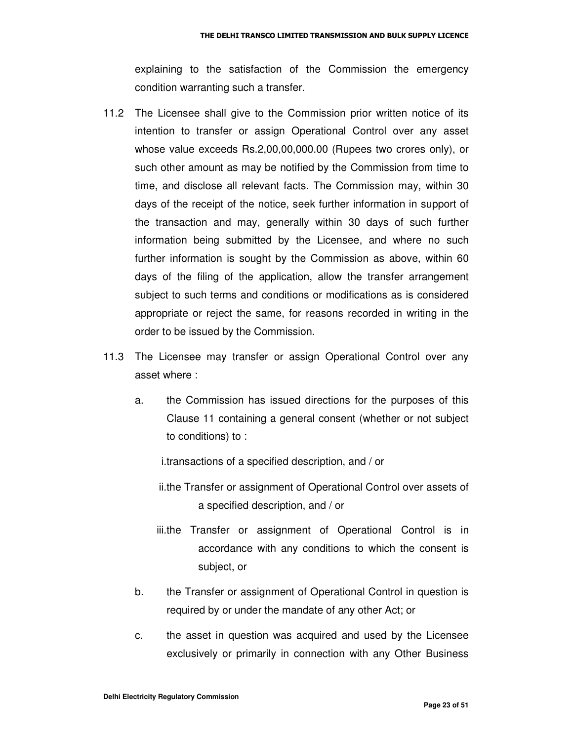explaining to the satisfaction of the Commission the emergency condition warranting such a transfer.

- 11.2 The Licensee shall give to the Commission prior written notice of its intention to transfer or assign Operational Control over any asset whose value exceeds Rs.2,00,00,000.00 (Rupees two crores only), or such other amount as may be notified by the Commission from time to time, and disclose all relevant facts. The Commission may, within 30 days of the receipt of the notice, seek further information in support of the transaction and may, generally within 30 days of such further information being submitted by the Licensee, and where no such further information is sought by the Commission as above, within 60 days of the filing of the application, allow the transfer arrangement subject to such terms and conditions or modifications as is considered appropriate or reject the same, for reasons recorded in writing in the order to be issued by the Commission.
- 11.3 The Licensee may transfer or assign Operational Control over any asset where :
	- a. the Commission has issued directions for the purposes of this Clause 11 containing a general consent (whether or not subject to conditions) to :

i.transactions of a specified description, and / or

- ii.the Transfer or assignment of Operational Control over assets of a specified description, and / or
- iii.the Transfer or assignment of Operational Control is in accordance with any conditions to which the consent is subject, or
- b. the Transfer or assignment of Operational Control in question is required by or under the mandate of any other Act; or
- c. the asset in question was acquired and used by the Licensee exclusively or primarily in connection with any Other Business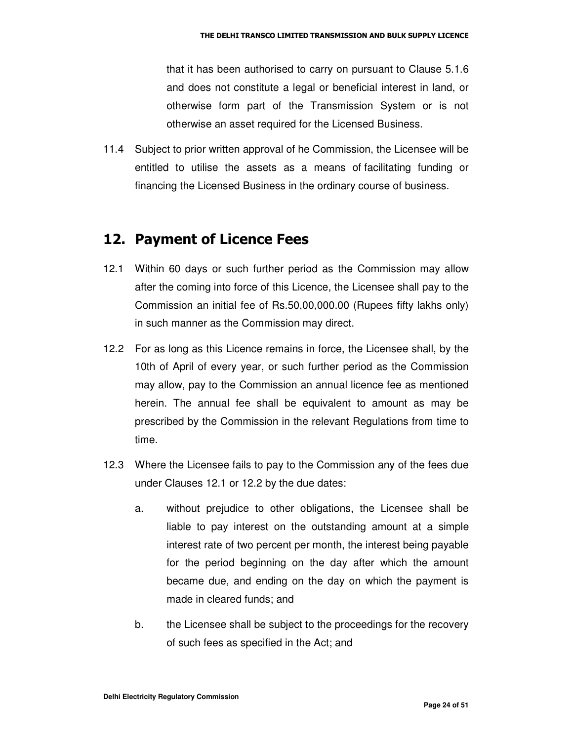that it has been authorised to carry on pursuant to Clause 5.1.6 and does not constitute a legal or beneficial interest in land, or otherwise form part of the Transmission System or is not otherwise an asset required for the Licensed Business.

11.4 Subject to prior written approval of he Commission, the Licensee will be entitled to utilise the assets as a means of facilitating funding or financing the Licensed Business in the ordinary course of business.

#### 12. Payment of Licence Fees

- 12.1 Within 60 days or such further period as the Commission may allow after the coming into force of this Licence, the Licensee shall pay to the Commission an initial fee of Rs.50,00,000.00 (Rupees fifty lakhs only) in such manner as the Commission may direct.
- 12.2 For as long as this Licence remains in force, the Licensee shall, by the 10th of April of every year, or such further period as the Commission may allow, pay to the Commission an annual licence fee as mentioned herein. The annual fee shall be equivalent to amount as may be prescribed by the Commission in the relevant Regulations from time to time.
- 12.3 Where the Licensee fails to pay to the Commission any of the fees due under Clauses 12.1 or 12.2 by the due dates:
	- a. without prejudice to other obligations, the Licensee shall be liable to pay interest on the outstanding amount at a simple interest rate of two percent per month, the interest being payable for the period beginning on the day after which the amount became due, and ending on the day on which the payment is made in cleared funds; and
	- b. the Licensee shall be subject to the proceedings for the recovery of such fees as specified in the Act; and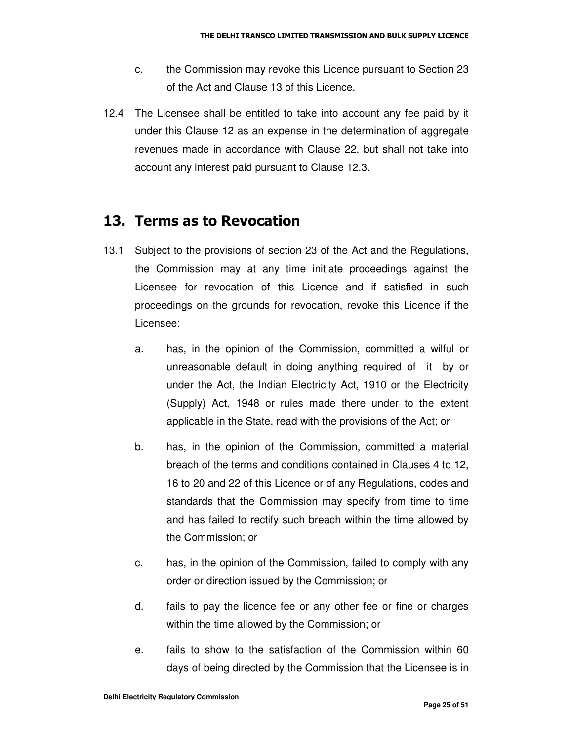- c. the Commission may revoke this Licence pursuant to Section 23 of the Act and Clause 13 of this Licence.
- 12.4 The Licensee shall be entitled to take into account any fee paid by it under this Clause 12 as an expense in the determination of aggregate revenues made in accordance with Clause 22, but shall not take into account any interest paid pursuant to Clause 12.3.

#### 13. Terms as to Revocation

- 13.1 Subject to the provisions of section 23 of the Act and the Regulations, the Commission may at any time initiate proceedings against the Licensee for revocation of this Licence and if satisfied in such proceedings on the grounds for revocation, revoke this Licence if the Licensee:
	- a. has, in the opinion of the Commission, committed a wilful or unreasonable default in doing anything required of it by or under the Act, the Indian Electricity Act, 1910 or the Electricity (Supply) Act, 1948 or rules made there under to the extent applicable in the State, read with the provisions of the Act; or
	- b. has, in the opinion of the Commission, committed a material breach of the terms and conditions contained in Clauses 4 to 12, 16 to 20 and 22 of this Licence or of any Regulations, codes and standards that the Commission may specify from time to time and has failed to rectify such breach within the time allowed by the Commission; or
	- c. has, in the opinion of the Commission, failed to comply with any order or direction issued by the Commission; or
	- d. fails to pay the licence fee or any other fee or fine or charges within the time allowed by the Commission; or
	- e. fails to show to the satisfaction of the Commission within 60 days of being directed by the Commission that the Licensee is in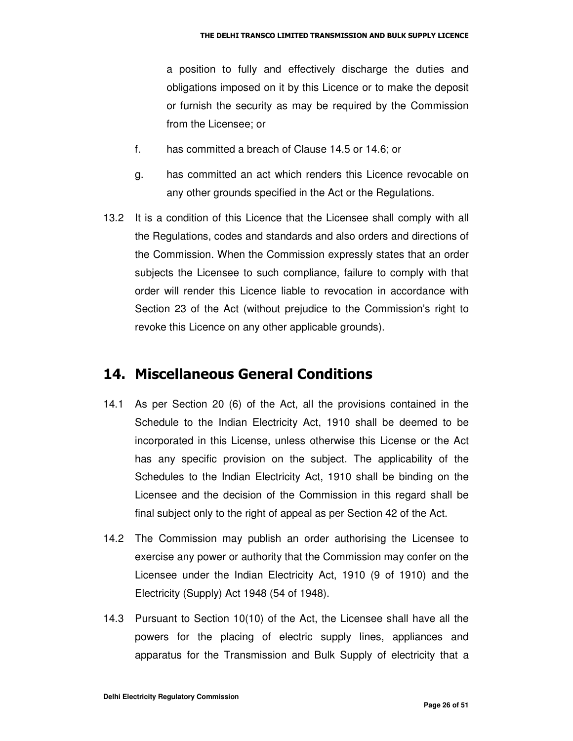a position to fully and effectively discharge the duties and obligations imposed on it by this Licence or to make the deposit or furnish the security as may be required by the Commission from the Licensee; or

- f. has committed a breach of Clause 14.5 or 14.6; or
- g. has committed an act which renders this Licence revocable on any other grounds specified in the Act or the Regulations.
- 13.2 It is a condition of this Licence that the Licensee shall comply with all the Regulations, codes and standards and also orders and directions of the Commission. When the Commission expressly states that an order subjects the Licensee to such compliance, failure to comply with that order will render this Licence liable to revocation in accordance with Section 23 of the Act (without prejudice to the Commission's right to revoke this Licence on any other applicable grounds).

#### 14. Miscellaneous General Conditions

- 14.1 As per Section 20 (6) of the Act, all the provisions contained in the Schedule to the Indian Electricity Act, 1910 shall be deemed to be incorporated in this License, unless otherwise this License or the Act has any specific provision on the subject. The applicability of the Schedules to the Indian Electricity Act, 1910 shall be binding on the Licensee and the decision of the Commission in this regard shall be final subject only to the right of appeal as per Section 42 of the Act.
- 14.2 The Commission may publish an order authorising the Licensee to exercise any power or authority that the Commission may confer on the Licensee under the Indian Electricity Act, 1910 (9 of 1910) and the Electricity (Supply) Act 1948 (54 of 1948).
- 14.3 Pursuant to Section 10(10) of the Act, the Licensee shall have all the powers for the placing of electric supply lines, appliances and apparatus for the Transmission and Bulk Supply of electricity that a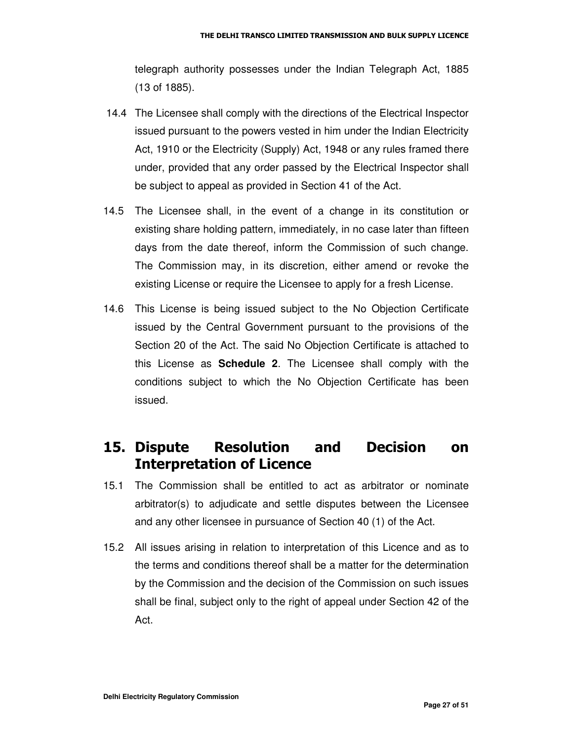telegraph authority possesses under the Indian Telegraph Act, 1885 (13 of 1885).

- 14.4 The Licensee shall comply with the directions of the Electrical Inspector issued pursuant to the powers vested in him under the Indian Electricity Act, 1910 or the Electricity (Supply) Act, 1948 or any rules framed there under, provided that any order passed by the Electrical Inspector shall be subject to appeal as provided in Section 41 of the Act.
- 14.5 The Licensee shall, in the event of a change in its constitution or existing share holding pattern, immediately, in no case later than fifteen days from the date thereof, inform the Commission of such change. The Commission may, in its discretion, either amend or revoke the existing License or require the Licensee to apply for a fresh License.
- 14.6 This License is being issued subject to the No Objection Certificate issued by the Central Government pursuant to the provisions of the Section 20 of the Act. The said No Objection Certificate is attached to this License as **Schedule 2**. The Licensee shall comply with the conditions subject to which the No Objection Certificate has been issued.

#### 15. Dispute Resolution and Decision on **Interpretation of Licence**

- 15.1 The Commission shall be entitled to act as arbitrator or nominate arbitrator(s) to adjudicate and settle disputes between the Licensee and any other licensee in pursuance of Section 40 (1) of the Act.
- 15.2 All issues arising in relation to interpretation of this Licence and as to the terms and conditions thereof shall be a matter for the determination by the Commission and the decision of the Commission on such issues shall be final, subject only to the right of appeal under Section 42 of the Act.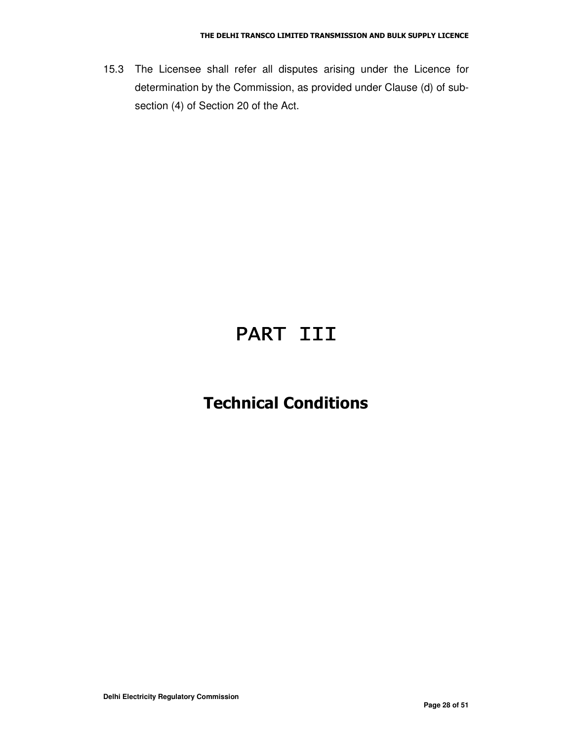15.3 The Licensee shall refer all disputes arising under the Licence for determination by the Commission, as provided under Clause (d) of subsection (4) of Section 20 of the Act.

# PART III

### **Technical Conditions**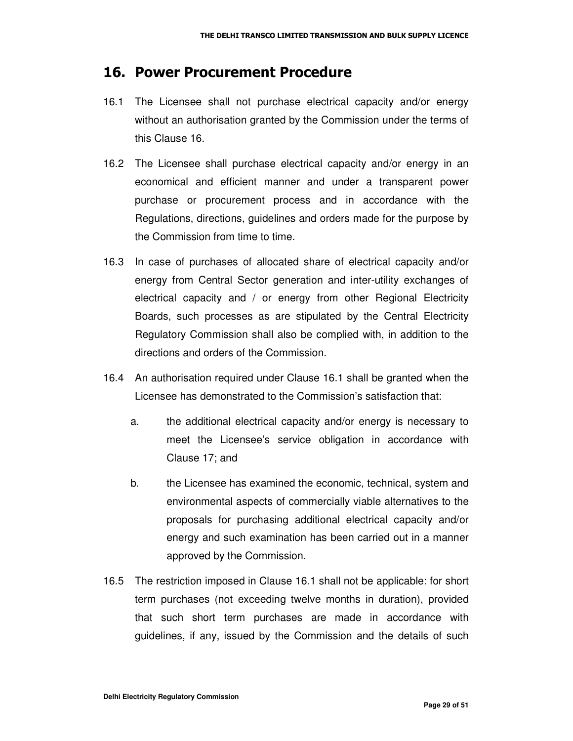#### 16. Power Procurement Procedure

- 16.1 The Licensee shall not purchase electrical capacity and/or energy without an authorisation granted by the Commission under the terms of this Clause 16.
- 16.2 The Licensee shall purchase electrical capacity and/or energy in an economical and efficient manner and under a transparent power purchase or procurement process and in accordance with the Regulations, directions, guidelines and orders made for the purpose by the Commission from time to time.
- 16.3 In case of purchases of allocated share of electrical capacity and/or energy from Central Sector generation and inter-utility exchanges of electrical capacity and / or energy from other Regional Electricity Boards, such processes as are stipulated by the Central Electricity Regulatory Commission shall also be complied with, in addition to the directions and orders of the Commission.
- 16.4 An authorisation required under Clause 16.1 shall be granted when the Licensee has demonstrated to the Commission's satisfaction that:
	- a. the additional electrical capacity and/or energy is necessary to meet the Licensee's service obligation in accordance with Clause 17; and
	- b. the Licensee has examined the economic, technical, system and environmental aspects of commercially viable alternatives to the proposals for purchasing additional electrical capacity and/or energy and such examination has been carried out in a manner approved by the Commission.
- 16.5 The restriction imposed in Clause 16.1 shall not be applicable: for short term purchases (not exceeding twelve months in duration), provided that such short term purchases are made in accordance with guidelines, if any, issued by the Commission and the details of such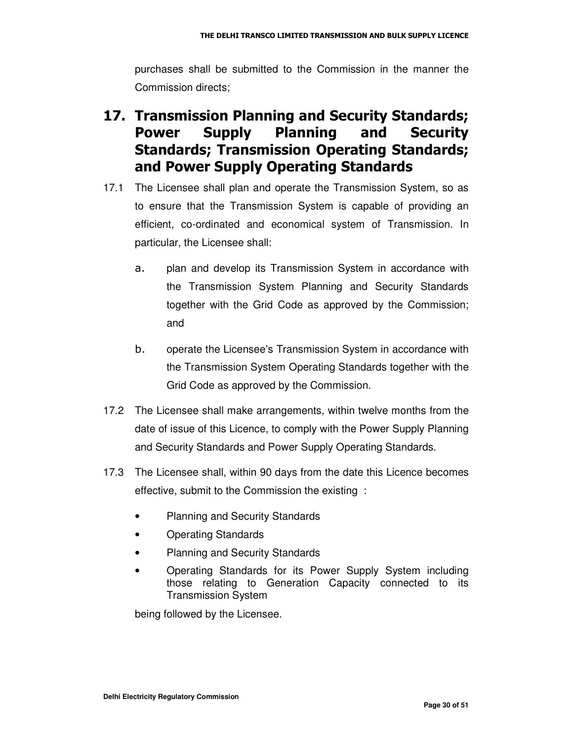purchases shall be submitted to the Commission in the manner the Commission directs;

### 17. Transmission Planning and Security Standards; Power Supply Planning and Security Standards; Transmission Operating Standards; and Power Supply Operating Standards

- 17.1 The Licensee shall plan and operate the Transmission System, so as to ensure that the Transmission System is capable of providing an efficient, co-ordinated and economical system of Transmission. In particular, the Licensee shall:
	- a. plan and develop its Transmission System in accordance with the Transmission System Planning and Security Standards together with the Grid Code as approved by the Commission; and
	- $b.$  operate the Licensee's Transmission System in accordance with the Transmission System Operating Standards together with the Grid Code as approved by the Commission.
- 17.2 The Licensee shall make arrangements, within twelve months from the date of issue of this Licence, to comply with the Power Supply Planning and Security Standards and Power Supply Operating Standards.
- 17.3 The Licensee shall, within 90 days from the date this Licence becomes effective, submit to the Commission the existing :
	- Planning and Security Standards
	- Operating Standards
	- Planning and Security Standards
	- Operating Standards for its Power Supply System including those relating to Generation Capacity connected to its Transmission System

being followed by the Licensee.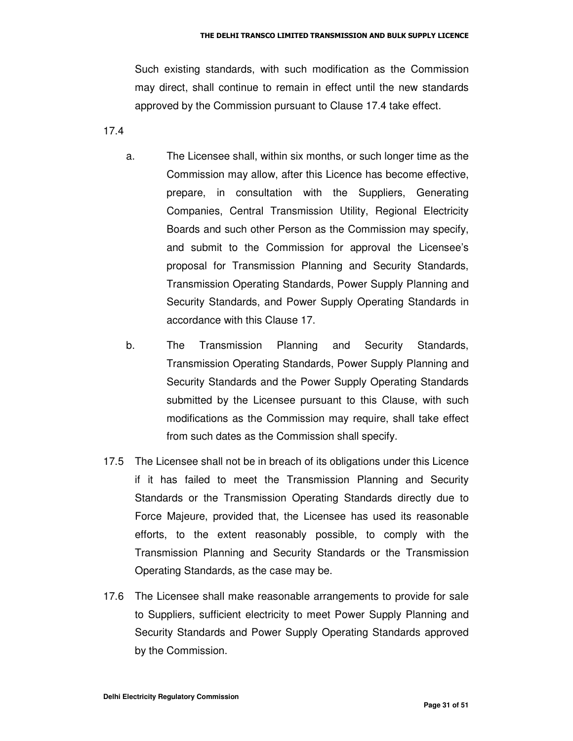Such existing standards, with such modification as the Commission may direct, shall continue to remain in effect until the new standards approved by the Commission pursuant to Clause 17.4 take effect.

17.4

- a. The Licensee shall, within six months, or such longer time as the Commission may allow, after this Licence has become effective, prepare, in consultation with the Suppliers, Generating Companies, Central Transmission Utility, Regional Electricity Boards and such other Person as the Commission may specify, and submit to the Commission for approval the Licensee's proposal for Transmission Planning and Security Standards, Transmission Operating Standards, Power Supply Planning and Security Standards, and Power Supply Operating Standards in accordance with this Clause 17.
- b. The Transmission Planning and Security Standards, Transmission Operating Standards, Power Supply Planning and Security Standards and the Power Supply Operating Standards submitted by the Licensee pursuant to this Clause, with such modifications as the Commission may require, shall take effect from such dates as the Commission shall specify.
- 17.5 The Licensee shall not be in breach of its obligations under this Licence if it has failed to meet the Transmission Planning and Security Standards or the Transmission Operating Standards directly due to Force Majeure, provided that, the Licensee has used its reasonable efforts, to the extent reasonably possible, to comply with the Transmission Planning and Security Standards or the Transmission Operating Standards, as the case may be.
- 17.6 The Licensee shall make reasonable arrangements to provide for sale to Suppliers, sufficient electricity to meet Power Supply Planning and Security Standards and Power Supply Operating Standards approved by the Commission.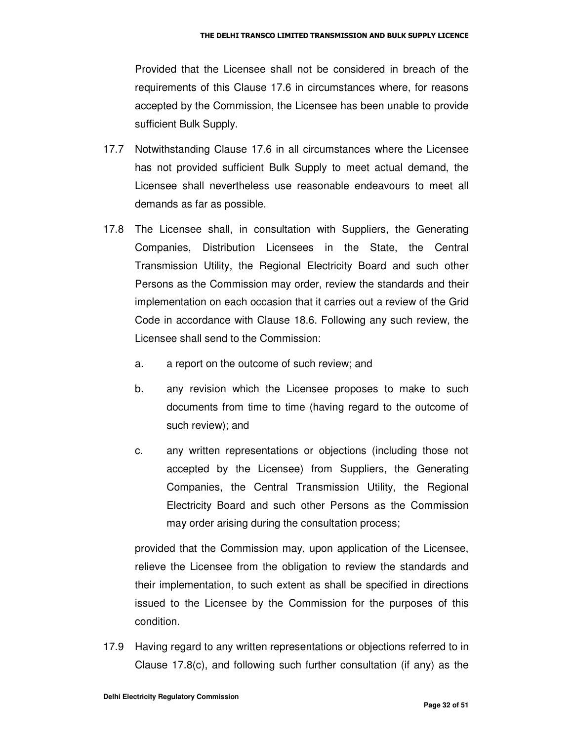Provided that the Licensee shall not be considered in breach of the requirements of this Clause 17.6 in circumstances where, for reasons accepted by the Commission, the Licensee has been unable to provide sufficient Bulk Supply.

- 17.7 Notwithstanding Clause 17.6 in all circumstances where the Licensee has not provided sufficient Bulk Supply to meet actual demand, the Licensee shall nevertheless use reasonable endeavours to meet all demands as far as possible.
- 17.8 The Licensee shall, in consultation with Suppliers, the Generating Companies, Distribution Licensees in the State, the Central Transmission Utility, the Regional Electricity Board and such other Persons as the Commission may order, review the standards and their implementation on each occasion that it carries out a review of the Grid Code in accordance with Clause 18.6. Following any such review, the Licensee shall send to the Commission:
	- a. a report on the outcome of such review; and
	- b. any revision which the Licensee proposes to make to such documents from time to time (having regard to the outcome of such review); and
	- c. any written representations or objections (including those not accepted by the Licensee) from Suppliers, the Generating Companies, the Central Transmission Utility, the Regional Electricity Board and such other Persons as the Commission may order arising during the consultation process;

provided that the Commission may, upon application of the Licensee, relieve the Licensee from the obligation to review the standards and their implementation, to such extent as shall be specified in directions issued to the Licensee by the Commission for the purposes of this condition.

17.9 Having regard to any written representations or objections referred to in Clause 17.8(c), and following such further consultation (if any) as the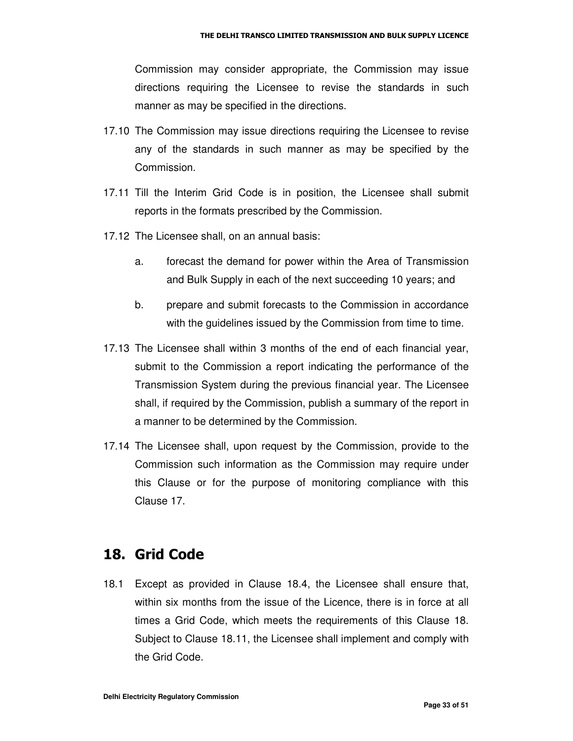Commission may consider appropriate, the Commission may issue directions requiring the Licensee to revise the standards in such manner as may be specified in the directions.

- 17.10 The Commission may issue directions requiring the Licensee to revise any of the standards in such manner as may be specified by the Commission.
- 17.11 Till the Interim Grid Code is in position, the Licensee shall submit reports in the formats prescribed by the Commission.
- 17.12 The Licensee shall, on an annual basis:
	- a. forecast the demand for power within the Area of Transmission and Bulk Supply in each of the next succeeding 10 years; and
	- b. prepare and submit forecasts to the Commission in accordance with the guidelines issued by the Commission from time to time.
- 17.13 The Licensee shall within 3 months of the end of each financial year, submit to the Commission a report indicating the performance of the Transmission System during the previous financial year. The Licensee shall, if required by the Commission, publish a summary of the report in a manner to be determined by the Commission.
- 17.14 The Licensee shall, upon request by the Commission, provide to the Commission such information as the Commission may require under this Clause or for the purpose of monitoring compliance with this Clause 17.

#### 18. Grid Code

18.1 Except as provided in Clause 18.4, the Licensee shall ensure that, within six months from the issue of the Licence, there is in force at all times a Grid Code, which meets the requirements of this Clause 18. Subject to Clause 18.11, the Licensee shall implement and comply with the Grid Code.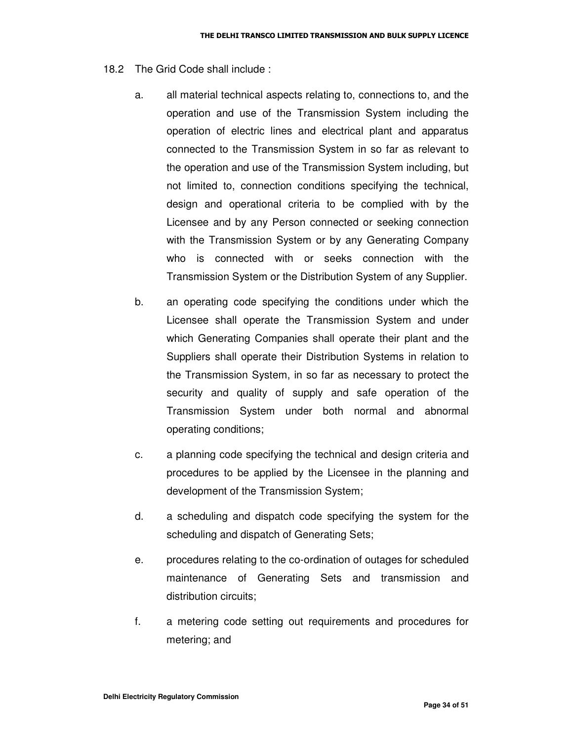- 18.2 The Grid Code shall include :
	- a. all material technical aspects relating to, connections to, and the operation and use of the Transmission System including the operation of electric lines and electrical plant and apparatus connected to the Transmission System in so far as relevant to the operation and use of the Transmission System including, but not limited to, connection conditions specifying the technical, design and operational criteria to be complied with by the Licensee and by any Person connected or seeking connection with the Transmission System or by any Generating Company who is connected with or seeks connection with the Transmission System or the Distribution System of any Supplier.
	- b. an operating code specifying the conditions under which the Licensee shall operate the Transmission System and under which Generating Companies shall operate their plant and the Suppliers shall operate their Distribution Systems in relation to the Transmission System, in so far as necessary to protect the security and quality of supply and safe operation of the Transmission System under both normal and abnormal operating conditions;
	- c. a planning code specifying the technical and design criteria and procedures to be applied by the Licensee in the planning and development of the Transmission System;
	- d. a scheduling and dispatch code specifying the system for the scheduling and dispatch of Generating Sets;
	- e. procedures relating to the co-ordination of outages for scheduled maintenance of Generating Sets and transmission and distribution circuits;
	- f. a metering code setting out requirements and procedures for metering; and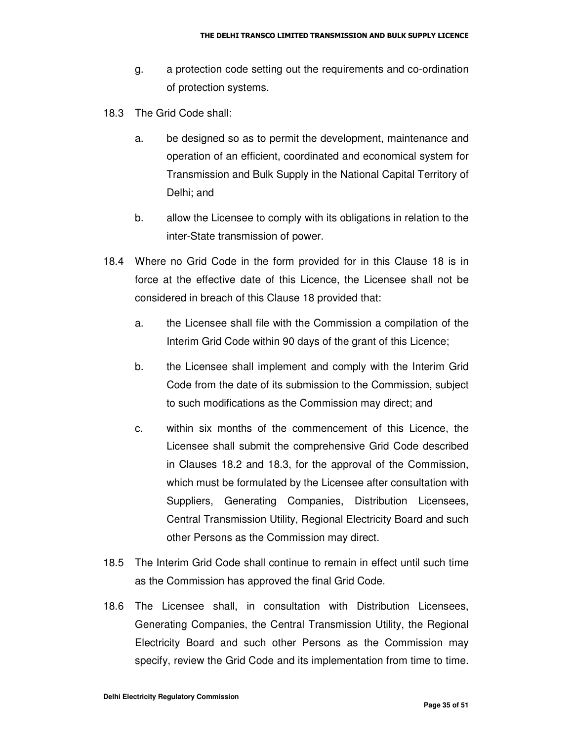- g. a protection code setting out the requirements and co-ordination of protection systems.
- 18.3 The Grid Code shall:
	- a. be designed so as to permit the development, maintenance and operation of an efficient, coordinated and economical system for Transmission and Bulk Supply in the National Capital Territory of Delhi; and
	- b. allow the Licensee to comply with its obligations in relation to the inter-State transmission of power.
- 18.4 Where no Grid Code in the form provided for in this Clause 18 is in force at the effective date of this Licence, the Licensee shall not be considered in breach of this Clause 18 provided that:
	- a. the Licensee shall file with the Commission a compilation of the Interim Grid Code within 90 days of the grant of this Licence;
	- b. the Licensee shall implement and comply with the Interim Grid Code from the date of its submission to the Commission, subject to such modifications as the Commission may direct; and
	- c. within six months of the commencement of this Licence, the Licensee shall submit the comprehensive Grid Code described in Clauses 18.2 and 18.3, for the approval of the Commission, which must be formulated by the Licensee after consultation with Suppliers, Generating Companies, Distribution Licensees, Central Transmission Utility, Regional Electricity Board and such other Persons as the Commission may direct.
- 18.5 The Interim Grid Code shall continue to remain in effect until such time as the Commission has approved the final Grid Code.
- 18.6 The Licensee shall, in consultation with Distribution Licensees, Generating Companies, the Central Transmission Utility, the Regional Electricity Board and such other Persons as the Commission may specify, review the Grid Code and its implementation from time to time.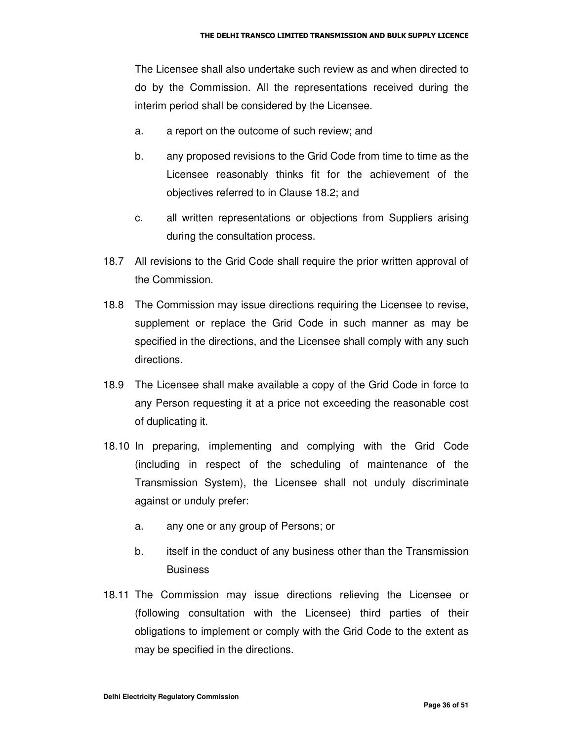The Licensee shall also undertake such review as and when directed to do by the Commission. All the representations received during the interim period shall be considered by the Licensee.

- a. a report on the outcome of such review; and
- b. any proposed revisions to the Grid Code from time to time as the Licensee reasonably thinks fit for the achievement of the objectives referred to in Clause 18.2; and
- c. all written representations or objections from Suppliers arising during the consultation process.
- 18.7 All revisions to the Grid Code shall require the prior written approval of the Commission.
- 18.8 The Commission may issue directions requiring the Licensee to revise, supplement or replace the Grid Code in such manner as may be specified in the directions, and the Licensee shall comply with any such directions.
- 18.9 The Licensee shall make available a copy of the Grid Code in force to any Person requesting it at a price not exceeding the reasonable cost of duplicating it.
- 18.10 In preparing, implementing and complying with the Grid Code (including in respect of the scheduling of maintenance of the Transmission System), the Licensee shall not unduly discriminate against or unduly prefer:
	- a. any one or any group of Persons; or
	- b. itself in the conduct of any business other than the Transmission **Business**
- 18.11 The Commission may issue directions relieving the Licensee or (following consultation with the Licensee) third parties of their obligations to implement or comply with the Grid Code to the extent as may be specified in the directions.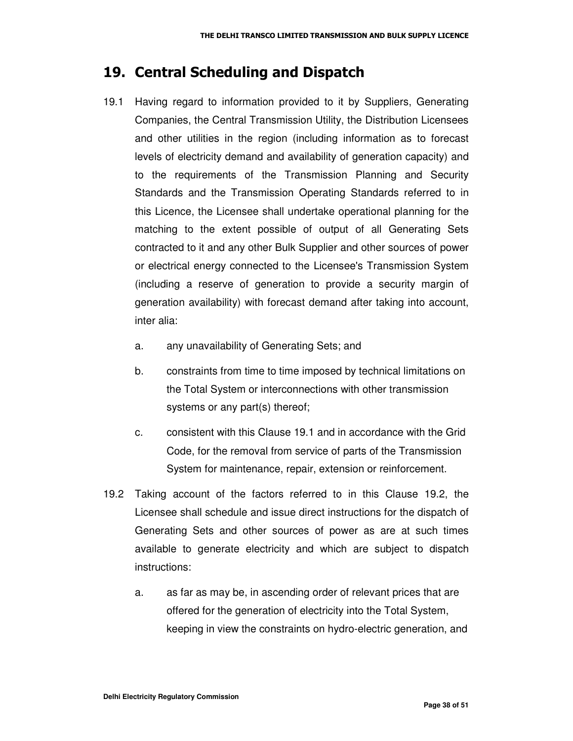#### 19. Central Scheduling and Dispatch

- 19.1 Having regard to information provided to it by Suppliers, Generating Companies, the Central Transmission Utility, the Distribution Licensees and other utilities in the region (including information as to forecast levels of electricity demand and availability of generation capacity) and to the requirements of the Transmission Planning and Security Standards and the Transmission Operating Standards referred to in this Licence, the Licensee shall undertake operational planning for the matching to the extent possible of output of all Generating Sets contracted to it and any other Bulk Supplier and other sources of power or electrical energy connected to the Licensee's Transmission System (including a reserve of generation to provide a security margin of generation availability) with forecast demand after taking into account, inter alia:
	- a. any unavailability of Generating Sets; and
	- b. constraints from time to time imposed by technical limitations on the Total System or interconnections with other transmission systems or any part(s) thereof;
	- c. consistent with this Clause 19.1 and in accordance with the Grid Code, for the removal from service of parts of the Transmission System for maintenance, repair, extension or reinforcement.
- 19.2 Taking account of the factors referred to in this Clause 19.2, the Licensee shall schedule and issue direct instructions for the dispatch of Generating Sets and other sources of power as are at such times available to generate electricity and which are subject to dispatch instructions:
	- a. as far as may be, in ascending order of relevant prices that are offered for the generation of electricity into the Total System, keeping in view the constraints on hydro-electric generation, and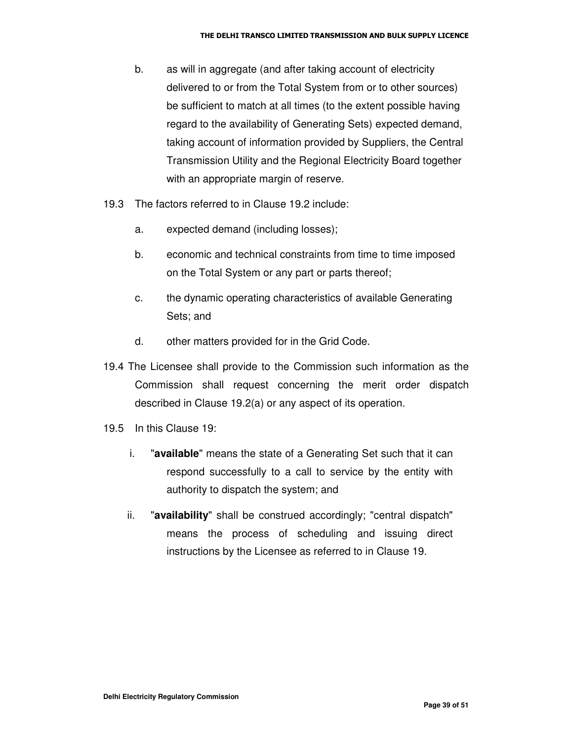- b. as will in aggregate (and after taking account of electricity delivered to or from the Total System from or to other sources) be sufficient to match at all times (to the extent possible having regard to the availability of Generating Sets) expected demand, taking account of information provided by Suppliers, the Central Transmission Utility and the Regional Electricity Board together with an appropriate margin of reserve.
- 19.3 The factors referred to in Clause 19.2 include:
	- a. expected demand (including losses);
	- b. economic and technical constraints from time to time imposed on the Total System or any part or parts thereof;
	- c. the dynamic operating characteristics of available Generating Sets; and
	- d. other matters provided for in the Grid Code.
- 19.4 The Licensee shall provide to the Commission such information as the Commission shall request concerning the merit order dispatch described in Clause 19.2(a) or any aspect of its operation.
- 19.5 In this Clause 19:
	- i. "**available**" means the state of a Generating Set such that it can respond successfully to a call to service by the entity with authority to dispatch the system; and
	- ii. "**availability**" shall be construed accordingly; "central dispatch" means the process of scheduling and issuing direct instructions by the Licensee as referred to in Clause 19.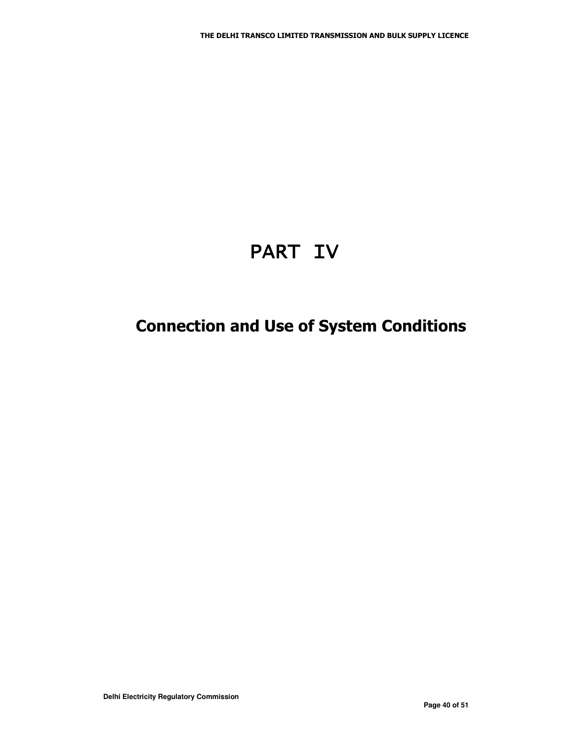# PART IV

## **Connection and Use of System Conditions**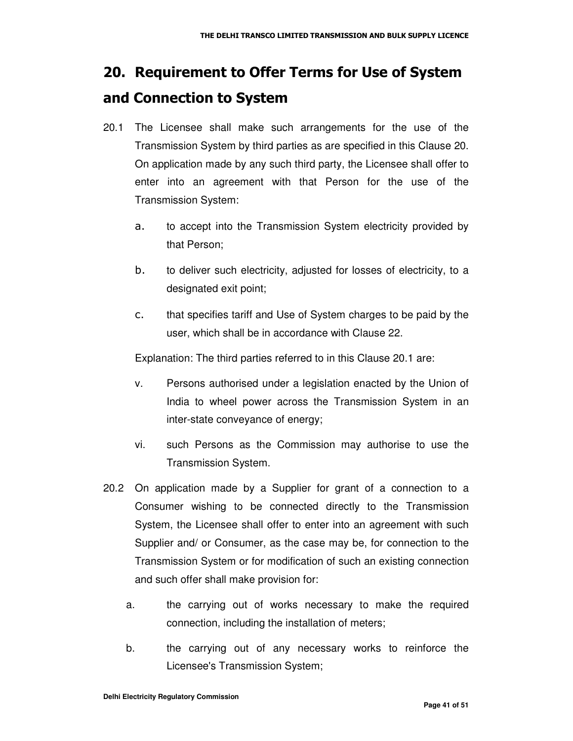## 20. Requirement to Offer Terms for Use of System and Connection to System

- 20.1 The Licensee shall make such arrangements for the use of the Transmission System by third parties as are specified in this Clause 20. On application made by any such third party, the Licensee shall offer to enter into an agreement with that Person for the use of the Transmission System:
	- a. to accept into the Transmission System electricity provided by that Person;
	- $b.$  to deliver such electricity, adjusted for losses of electricity, to a designated exit point;
	- $\mathsf{C}$ . that specifies tariff and Use of System charges to be paid by the user, which shall be in accordance with Clause 22.

Explanation: The third parties referred to in this Clause 20.1 are:

- v. Persons authorised under a legislation enacted by the Union of India to wheel power across the Transmission System in an inter-state conveyance of energy;
- vi. such Persons as the Commission may authorise to use the Transmission System.
- 20.2 On application made by a Supplier for grant of a connection to a Consumer wishing to be connected directly to the Transmission System, the Licensee shall offer to enter into an agreement with such Supplier and/ or Consumer, as the case may be, for connection to the Transmission System or for modification of such an existing connection and such offer shall make provision for:
	- a. the carrying out of works necessary to make the required connection, including the installation of meters;
	- b. the carrying out of any necessary works to reinforce the Licensee's Transmission System;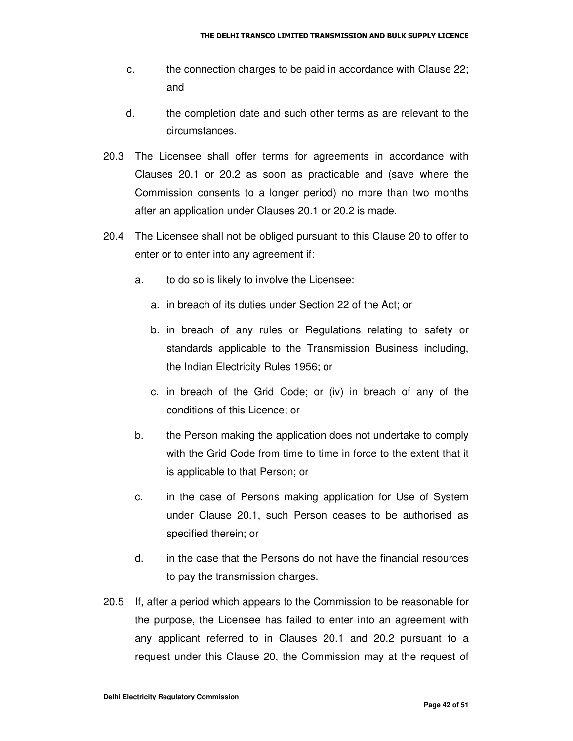- c. the connection charges to be paid in accordance with Clause 22; and
- d. the completion date and such other terms as are relevant to the circumstances.
- 20.3 The Licensee shall offer terms for agreements in accordance with Clauses 20.1 or 20.2 as soon as practicable and (save where the Commission consents to a longer period) no more than two months after an application under Clauses 20.1 or 20.2 is made.
- 20.4 The Licensee shall not be obliged pursuant to this Clause 20 to offer to enter or to enter into any agreement if:
	- a. to do so is likely to involve the Licensee:
		- a. in breach of its duties under Section 22 of the Act; or
		- b. in breach of any rules or Regulations relating to safety or standards applicable to the Transmission Business including, the Indian Electricity Rules 1956; or
		- c. in breach of the Grid Code; or (iv) in breach of any of the conditions of this Licence; or
	- b. the Person making the application does not undertake to comply with the Grid Code from time to time in force to the extent that it is applicable to that Person; or
	- c. in the case of Persons making application for Use of System under Clause 20.1, such Person ceases to be authorised as specified therein; or
	- d. in the case that the Persons do not have the financial resources to pay the transmission charges.
- 20.5 If, after a period which appears to the Commission to be reasonable for the purpose, the Licensee has failed to enter into an agreement with any applicant referred to in Clauses 20.1 and 20.2 pursuant to a request under this Clause 20, the Commission may at the request of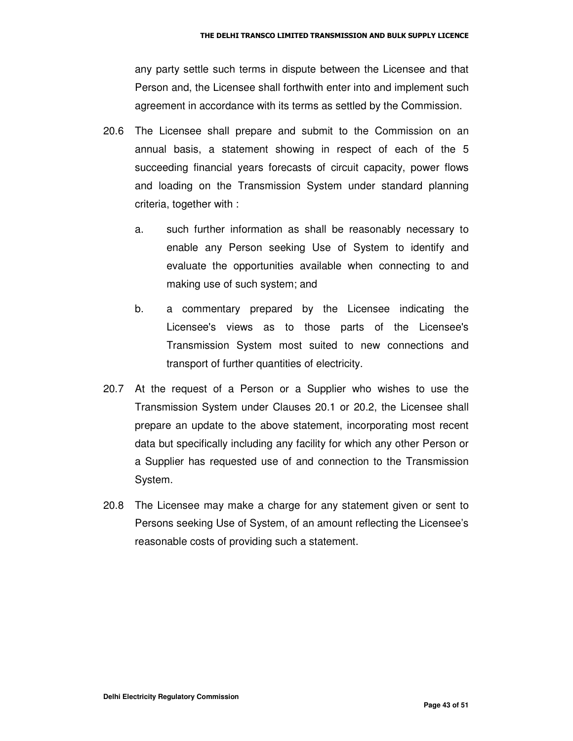any party settle such terms in dispute between the Licensee and that Person and, the Licensee shall forthwith enter into and implement such agreement in accordance with its terms as settled by the Commission.

- 20.6 The Licensee shall prepare and submit to the Commission on an annual basis, a statement showing in respect of each of the 5 succeeding financial years forecasts of circuit capacity, power flows and loading on the Transmission System under standard planning criteria, together with :
	- a. such further information as shall be reasonably necessary to enable any Person seeking Use of System to identify and evaluate the opportunities available when connecting to and making use of such system; and
	- b. a commentary prepared by the Licensee indicating the Licensee's views as to those parts of the Licensee's Transmission System most suited to new connections and transport of further quantities of electricity.
- 20.7 At the request of a Person or a Supplier who wishes to use the Transmission System under Clauses 20.1 or 20.2, the Licensee shall prepare an update to the above statement, incorporating most recent data but specifically including any facility for which any other Person or a Supplier has requested use of and connection to the Transmission System.
- 20.8 The Licensee may make a charge for any statement given or sent to Persons seeking Use of System, of an amount reflecting the Licensee's reasonable costs of providing such a statement.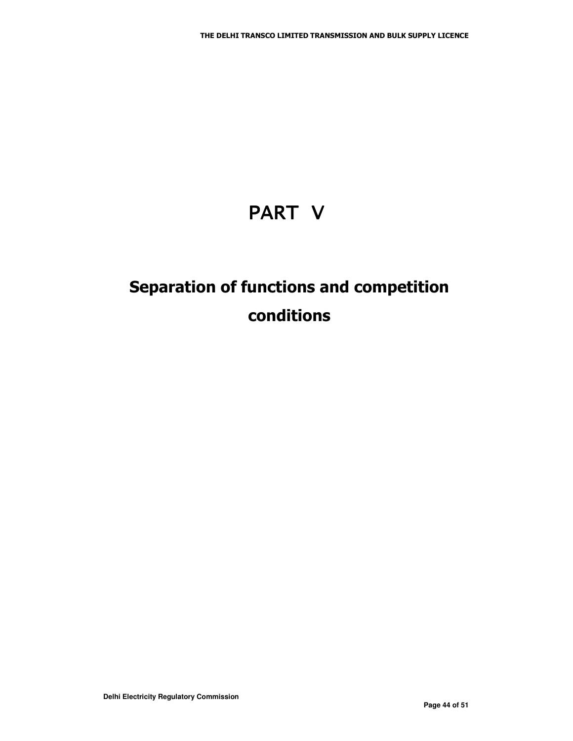# PART V

## Separation of functions and competition conditions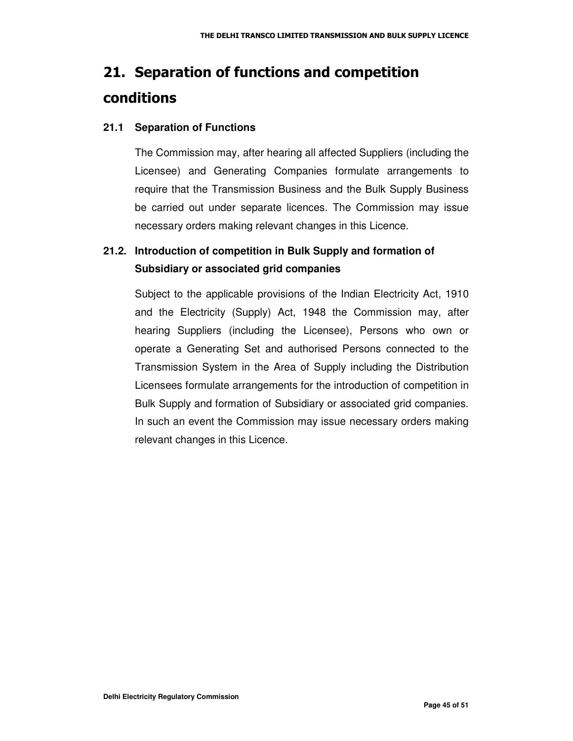## 21. Separation of functions and competition **conditions**

#### **21.1 Separation of Functions**

The Commission may, after hearing all affected Suppliers (including the Licensee) and Generating Companies formulate arrangements to require that the Transmission Business and the Bulk Supply Business be carried out under separate licences. The Commission may issue necessary orders making relevant changes in this Licence.

#### **21.2. Introduction of competition in Bulk Supply and formation of Subsidiary or associated grid companies**

Subject to the applicable provisions of the Indian Electricity Act, 1910 and the Electricity (Supply) Act, 1948 the Commission may, after hearing Suppliers (including the Licensee), Persons who own or operate a Generating Set and authorised Persons connected to the Transmission System in the Area of Supply including the Distribution Licensees formulate arrangements for the introduction of competition in Bulk Supply and formation of Subsidiary or associated grid companies. In such an event the Commission may issue necessary orders making relevant changes in this Licence.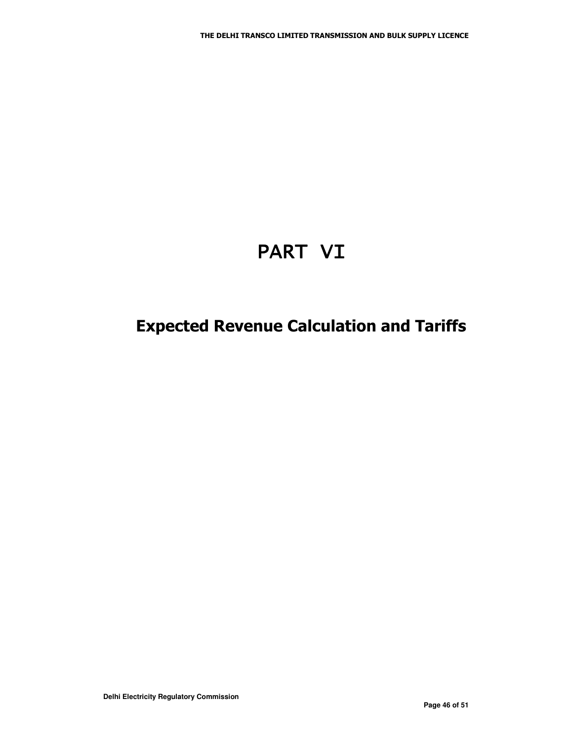# PART VI

## **Expected Revenue Calculation and Tariffs**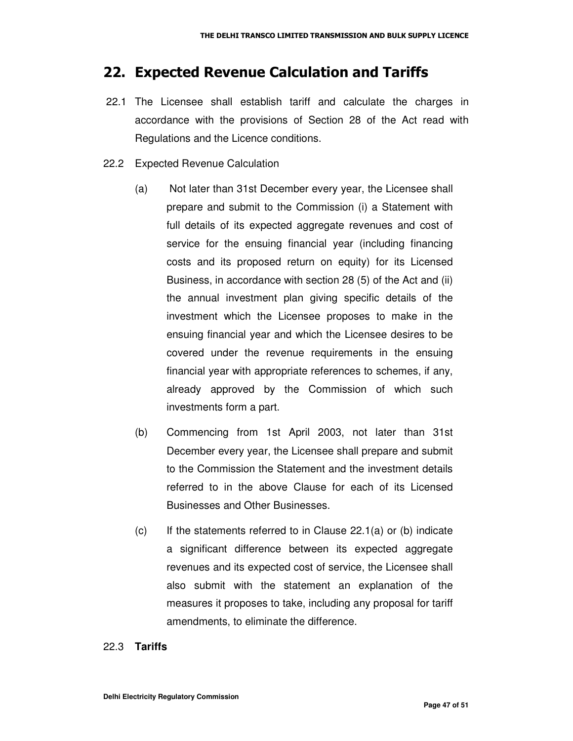#### 22. Expected Revenue Calculation and Tariffs

- 22.1 The Licensee shall establish tariff and calculate the charges in accordance with the provisions of Section 28 of the Act read with Regulations and the Licence conditions.
- 22.2 Expected Revenue Calculation
	- (a) Not later than 31st December every year, the Licensee shall prepare and submit to the Commission (i) a Statement with full details of its expected aggregate revenues and cost of service for the ensuing financial year (including financing costs and its proposed return on equity) for its Licensed Business, in accordance with section 28 (5) of the Act and (ii) the annual investment plan giving specific details of the investment which the Licensee proposes to make in the ensuing financial year and which the Licensee desires to be covered under the revenue requirements in the ensuing financial year with appropriate references to schemes, if any, already approved by the Commission of which such investments form a part.
	- (b) Commencing from 1st April 2003, not later than 31st December every year, the Licensee shall prepare and submit to the Commission the Statement and the investment details referred to in the above Clause for each of its Licensed Businesses and Other Businesses.
	- $(c)$  If the statements referred to in Clause 22.1(a) or (b) indicate a significant difference between its expected aggregate revenues and its expected cost of service, the Licensee shall also submit with the statement an explanation of the measures it proposes to take, including any proposal for tariff amendments, to eliminate the difference.

#### 22.3 **Tariffs**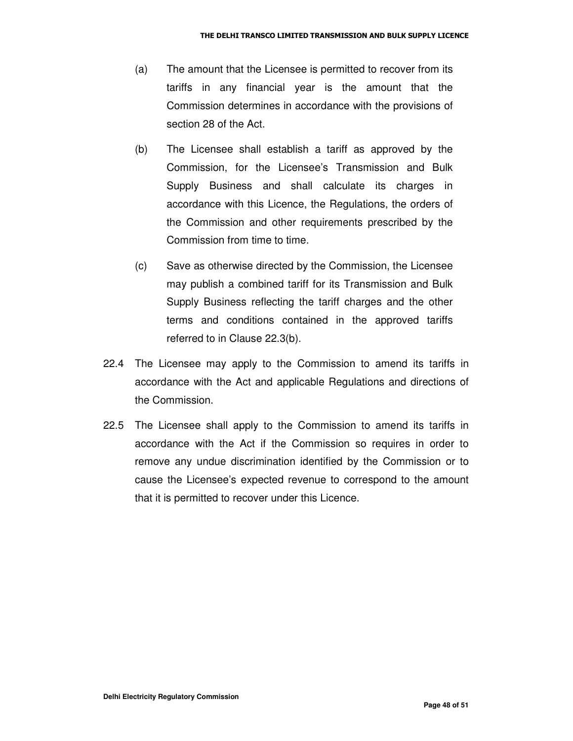- (a) The amount that the Licensee is permitted to recover from its tariffs in any financial year is the amount that the Commission determines in accordance with the provisions of section 28 of the Act.
- (b) The Licensee shall establish a tariff as approved by the Commission, for the Licensee's Transmission and Bulk Supply Business and shall calculate its charges in accordance with this Licence, the Regulations, the orders of the Commission and other requirements prescribed by the Commission from time to time.
- (c) Save as otherwise directed by the Commission, the Licensee may publish a combined tariff for its Transmission and Bulk Supply Business reflecting the tariff charges and the other terms and conditions contained in the approved tariffs referred to in Clause 22.3(b).
- 22.4 The Licensee may apply to the Commission to amend its tariffs in accordance with the Act and applicable Regulations and directions of the Commission.
- 22.5 The Licensee shall apply to the Commission to amend its tariffs in accordance with the Act if the Commission so requires in order to remove any undue discrimination identified by the Commission or to cause the Licensee's expected revenue to correspond to the amount that it is permitted to recover under this Licence.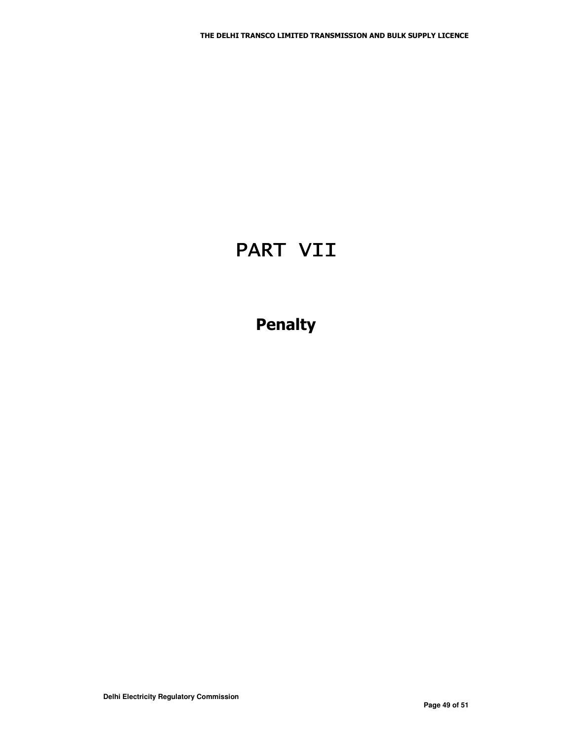## PART VII

## **Penalty**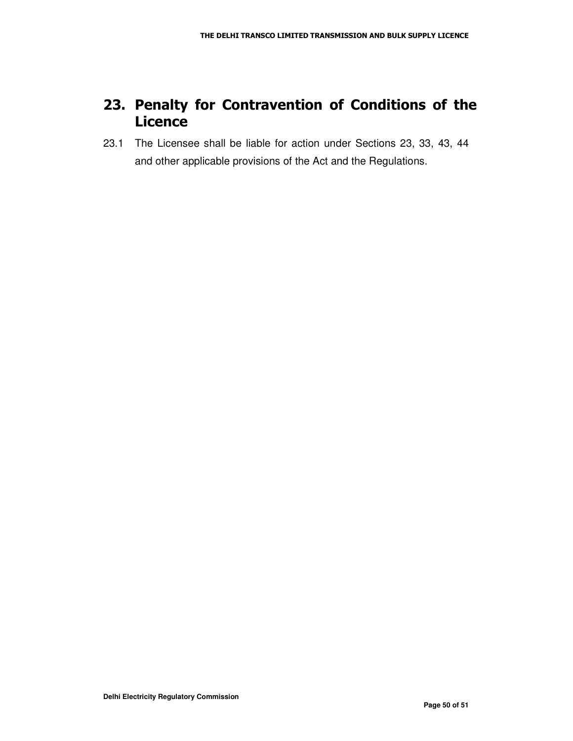### 23. Penalty for Contravention of Conditions of the **Licence**

23.1 The Licensee shall be liable for action under Sections 23, 33, 43, 44 and other applicable provisions of the Act and the Regulations.